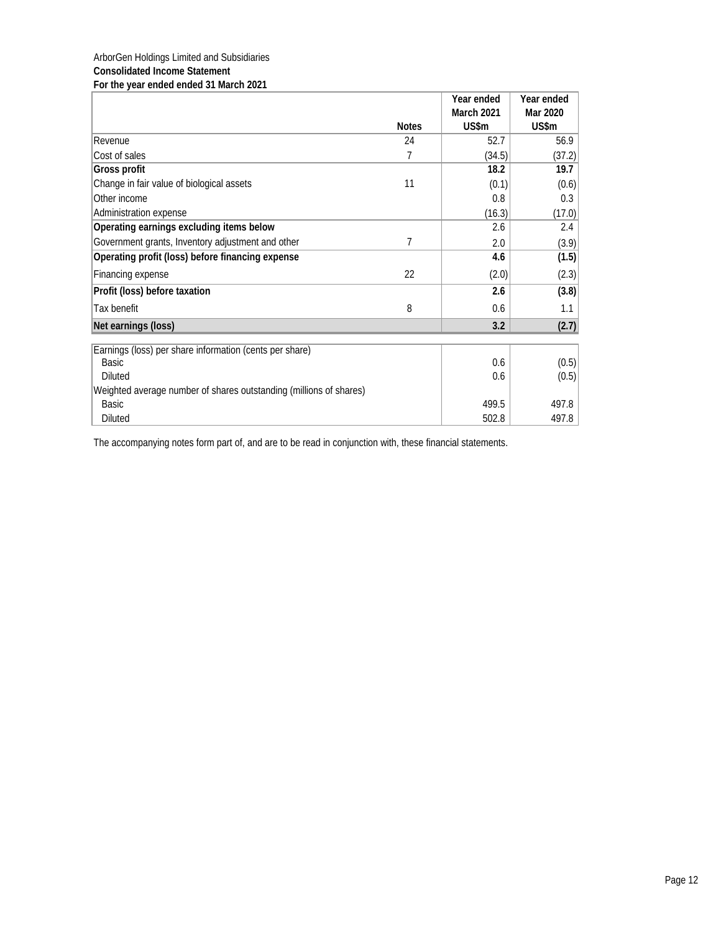## ArborGen Holdings Limited and Subsidiaries **Consolidated Income Statement For the year ended ended 31 March 2021**

|                                                                    |              | Year ended | Year ended |
|--------------------------------------------------------------------|--------------|------------|------------|
|                                                                    |              | March 2021 | Mar 2020   |
|                                                                    | <b>Notes</b> | US\$m      | US\$m      |
| Revenue                                                            | 24           | 52.7       | 56.9       |
| Cost of sales                                                      | 7            | (34.5)     | (37.2)     |
| Gross profit                                                       |              | 18.2       | 19.7       |
| Change in fair value of biological assets                          | 11           | (0.1)      | (0.6)      |
| Other income                                                       |              | 0.8        | 0.3        |
| Administration expense                                             |              | (16.3)     | (17.0)     |
| Operating earnings excluding items below                           |              | 2.6        | 2.4        |
| Government grants, Inventory adjustment and other                  | 7            | 2.0        | (3.9)      |
| Operating profit (loss) before financing expense                   |              | 4.6        | (1.5)      |
| Financing expense                                                  | 22           | (2.0)      | (2.3)      |
| Profit (loss) before taxation                                      |              | 2.6        | (3.8)      |
| Tax benefit                                                        | 8            | 0.6        | 1.1        |
| Net earnings (loss)                                                |              | 3.2        | (2.7)      |
| Earnings (loss) per share information (cents per share)            |              |            |            |
| <b>Basic</b>                                                       |              | 0.6        | (0.5)      |
| <b>Diluted</b>                                                     |              | 0.6        | (0.5)      |
| Weighted average number of shares outstanding (millions of shares) |              |            |            |
| <b>Basic</b>                                                       |              | 499.5      | 497.8      |
| Diluted                                                            |              | 502.8      | 497.8      |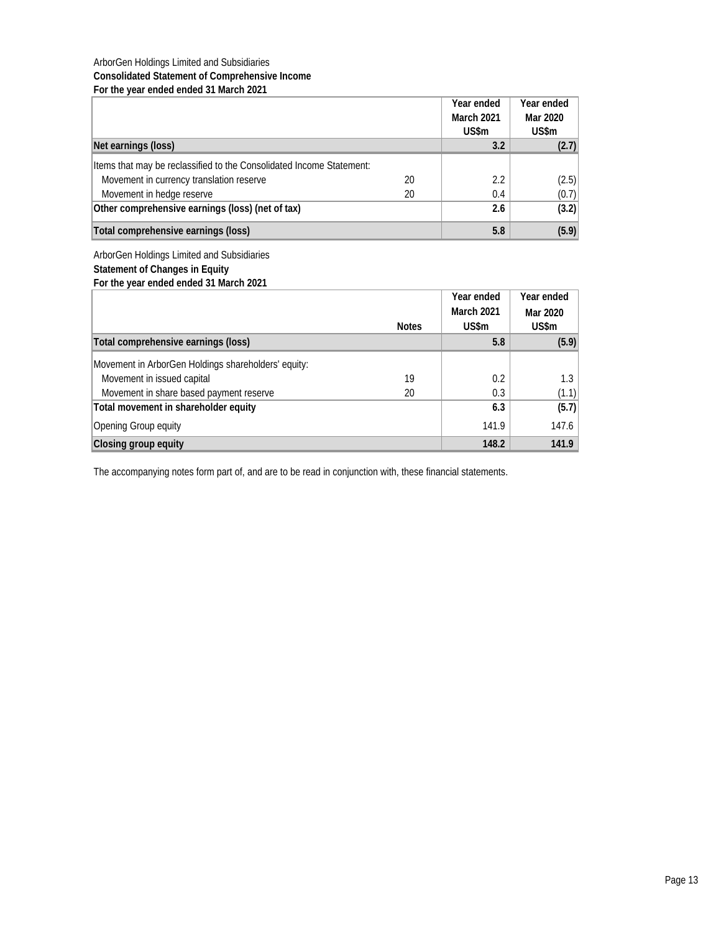## ArborGen Holdings Limited and Subsidiaries **Consolidated Statement of Comprehensive Income For the year ended ended 31 March 2021**

|                                                                      |    | Year ended<br><b>March 2021</b><br>US\$m | Year ended<br>Mar 2020<br>US\$m |
|----------------------------------------------------------------------|----|------------------------------------------|---------------------------------|
| Net earnings (loss)                                                  |    | 3.2                                      | (2.7)                           |
| Items that may be reclassified to the Consolidated Income Statement: |    |                                          |                                 |
| Movement in currency translation reserve                             | 20 | 2.2                                      | (2.5)                           |
| Movement in hedge reserve                                            | 20 | 0.4                                      | (0.7)                           |
| Other comprehensive earnings (loss) (net of tax)                     |    | 2.6                                      | (3.2)                           |
| Total comprehensive earnings (loss)                                  |    | 5.8                                      | (5.9)                           |

ArborGen Holdings Limited and Subsidiaries

**Statement of Changes in Equity For the year ended ended 31 March 2021**

|                                                     |              | Year ended | Year ended |
|-----------------------------------------------------|--------------|------------|------------|
|                                                     |              | March 2021 | Mar 2020   |
|                                                     | <b>Notes</b> | US\$m      | US\$m      |
| Total comprehensive earnings (loss)                 |              | 5.8        | (5.9)      |
| Movement in ArborGen Holdings shareholders' equity: |              |            |            |
| Movement in issued capital                          | 19           | 0.2        | 1.3        |
| Movement in share based payment reserve             | 20           | 0.3        | (1.1)      |
| Total movement in shareholder equity                |              | 6.3        | (5.7)      |
| Opening Group equity                                |              | 141.9      | 147.6      |
| Closing group equity                                |              | 148.2      | 141.9      |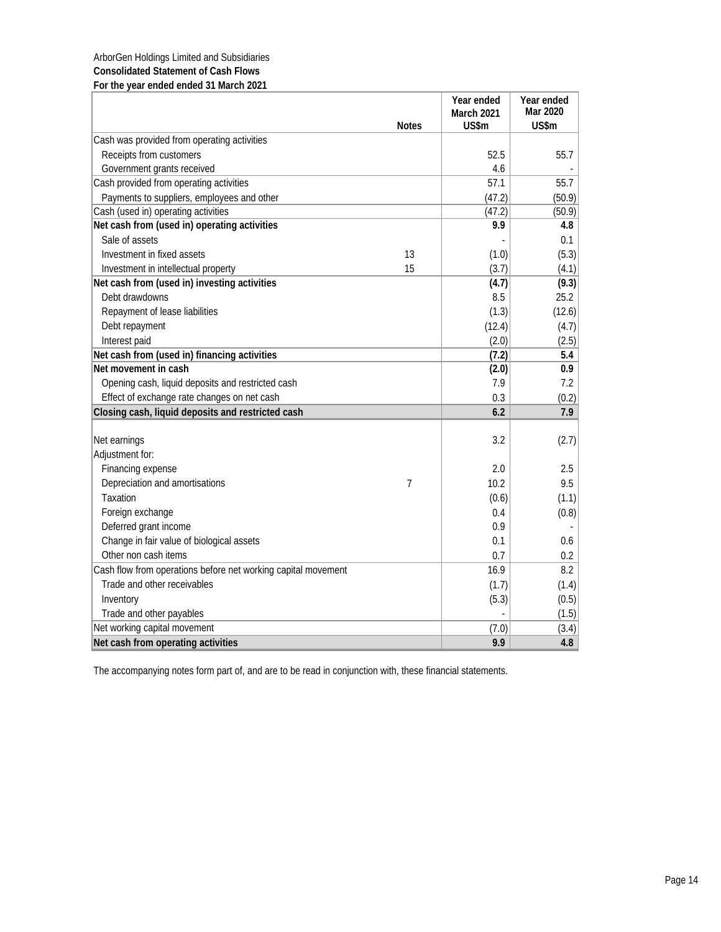## ArborGen Holdings Limited and Subsidiaries **Consolidated Statement of Cash Flows For the year ended ended 31 March 2021**

|                                                               | <b>Notes</b> | Year ended<br><b>March 2021</b><br>US\$m | Year ended<br>Mar 2020<br>US\$m |
|---------------------------------------------------------------|--------------|------------------------------------------|---------------------------------|
| Cash was provided from operating activities                   |              |                                          |                                 |
| Receipts from customers                                       |              | 52.5                                     | 55.7                            |
| Government grants received                                    |              | 4.6                                      |                                 |
| Cash provided from operating activities                       |              | 57.1                                     | 55.7                            |
| Payments to suppliers, employees and other                    |              | (47.2)                                   | (50.9)                          |
| Cash (used in) operating activities                           |              | (47.2)                                   | (50.9)                          |
| Net cash from (used in) operating activities                  |              | 9.9                                      | 4.8                             |
| Sale of assets                                                |              |                                          | 0.1                             |
| Investment in fixed assets                                    | 13           | (1.0)                                    | (5.3)                           |
| Investment in intellectual property                           | 15           | (3.7)                                    | (4.1)                           |
| Net cash from (used in) investing activities                  |              | (4.7)                                    | (9.3)                           |
| Debt drawdowns                                                |              | 8.5                                      | 25.2                            |
| Repayment of lease liabilities                                |              | (1.3)                                    | (12.6)                          |
| Debt repayment                                                |              | (12.4)                                   | (4.7)                           |
| Interest paid                                                 |              | (2.0)                                    | (2.5)                           |
| Net cash from (used in) financing activities                  |              | (7.2)                                    | 5.4                             |
| Net movement in cash                                          |              | (2.0)                                    | 0.9                             |
| Opening cash, liquid deposits and restricted cash             |              | 7.9                                      | 7.2                             |
| Effect of exchange rate changes on net cash                   |              | 0.3                                      | (0.2)                           |
| Closing cash, liquid deposits and restricted cash             |              | 6.2                                      | 7.9                             |
|                                                               |              |                                          |                                 |
| Net earnings                                                  |              | 3.2                                      | (2.7)                           |
| Adjustment for:                                               |              |                                          |                                 |
| Financing expense                                             |              | 2.0                                      | 2.5                             |
| Depreciation and amortisations                                | 7            | 10.2                                     | 9.5                             |
| Taxation                                                      |              | (0.6)                                    | (1.1)                           |
| Foreign exchange                                              |              | 0.4                                      | (0.8)                           |
| Deferred grant income                                         |              | 0.9                                      |                                 |
| Change in fair value of biological assets                     |              | 0.1                                      | 0.6                             |
| Other non cash items                                          |              | 0.7                                      | 0.2                             |
| Cash flow from operations before net working capital movement |              | 16.9                                     | 8.2                             |
| Trade and other receivables                                   |              | (1.7)                                    | (1.4)                           |
| Inventory                                                     |              | (5.3)                                    | (0.5)                           |
| Trade and other payables                                      |              |                                          | (1.5)                           |
| Net working capital movement                                  |              | (7.0)                                    | (3.4)                           |
| Net cash from operating activities                            |              | 9.9                                      | 4.8                             |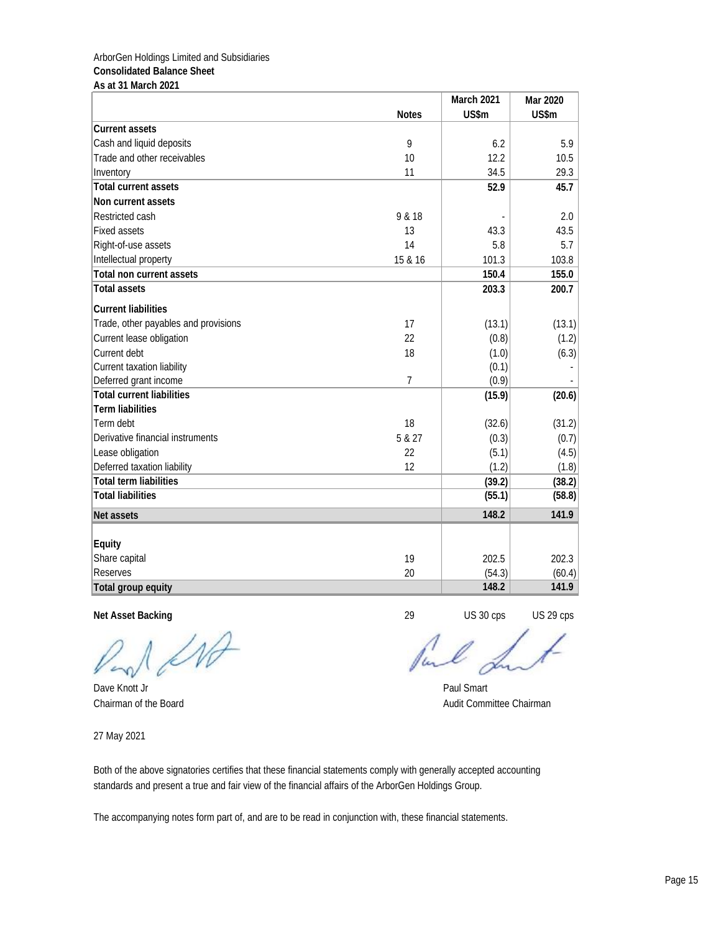## ArborGen Holdings Limited and Subsidiaries **Consolidated Balance Sheet As at 31 March 2021**

|                                      |                | March 2021 | Mar 2020 |
|--------------------------------------|----------------|------------|----------|
|                                      | <b>Notes</b>   | US\$m      | US\$m    |
| <b>Current assets</b>                |                |            |          |
| Cash and liquid deposits             | 9              | 6.2        | 5.9      |
| Trade and other receivables          | 10             | 12.2       | 10.5     |
| Inventory                            | 11             | 34.5       | 29.3     |
| <b>Total current assets</b>          |                | 52.9       | 45.7     |
| Non current assets                   |                |            |          |
| Restricted cash                      | 9 & 18         |            | 2.0      |
| <b>Fixed assets</b>                  | 13             | 43.3       | 43.5     |
| Right-of-use assets                  | 14             | 5.8        | 5.7      |
| Intellectual property                | 15 & 16        | 101.3      | 103.8    |
| Total non current assets             |                | 150.4      | 155.0    |
| <b>Total assets</b>                  |                | 203.3      | 200.7    |
| <b>Current liabilities</b>           |                |            |          |
| Trade, other payables and provisions | 17             | (13.1)     | (13.1)   |
| Current lease obligation             | 22             | (0.8)      | (1.2)    |
| Current debt                         | 18             | (1.0)      | (6.3)    |
| Current taxation liability           |                | (0.1)      |          |
| Deferred grant income                | $\overline{7}$ | (0.9)      |          |
| <b>Total current liabilities</b>     |                | (15.9)     | (20.6)   |
| <b>Term liabilities</b>              |                |            |          |
| Term debt                            | 18             | (32.6)     | (31.2)   |
| Derivative financial instruments     | 5 & 27         | (0.3)      | (0.7)    |
| Lease obligation                     | 22             | (5.1)      | (4.5)    |
| Deferred taxation liability          | 12             | (1.2)      | (1.8)    |
| <b>Total term liabilities</b>        |                | (39.2)     | (38.2)   |
| <b>Total liabilities</b>             |                | (55.1)     | (58.8)   |
| Net assets                           |                | 148.2      | 141.9    |
|                                      |                |            |          |
| Equity                               | 19             | 202.5      | 202.3    |
| Share capital<br><b>Reserves</b>     |                |            |          |
|                                      | 20             | (54.3)     | (60.4)   |
| Total group equity                   |                | 148.2      | 141.9    |

**Net Asset Backing** 29 US 30 cps US 29 cps

INA

Dave Knott Jr Paul Smart

 $\ell$ 

Chairman of the Board **Audit Committee Chairman** Audit Committee Chairman

27 May 2021

Both of the above signatories certifies that these financial statements comply with generally accepted accounting standards and present a true and fair view of the financial affairs of the ArborGen Holdings Group.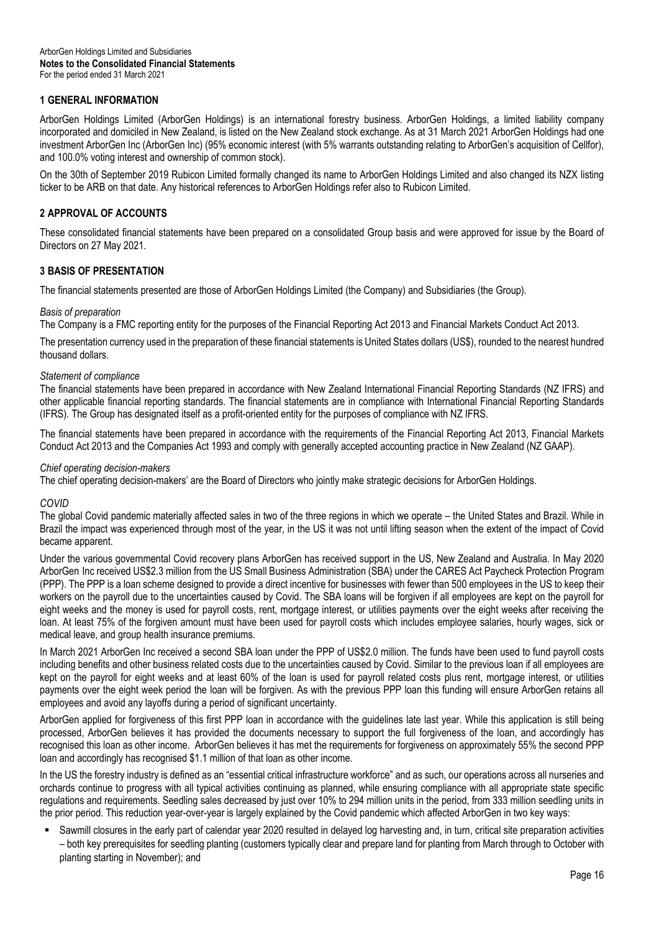## **1 GENERAL INFORMATION**

ArborGen Holdings Limited (ArborGen Holdings) is an international forestry business. ArborGen Holdings, a limited liability company incorporated and domiciled in New Zealand, is listed on the New Zealand stock exchange. As at 31 March 2021 ArborGen Holdings had one investment ArborGen Inc (ArborGen Inc) (95% economic interest (with 5% warrants outstanding relating to ArborGen's acquisition of Cellfor), and 100.0% voting interest and ownership of common stock).

On the 30th of September 2019 Rubicon Limited formally changed its name to ArborGen Holdings Limited and also changed its NZX listing ticker to be ARB on that date. Any historical references to ArborGen Holdings refer also to Rubicon Limited.

## **2 APPROVAL OF ACCOUNTS**

These consolidated financial statements have been prepared on a consolidated Group basis and were approved for issue by the Board of Directors on 27 May 2021.

## **3 BASIS OF PRESENTATION**

The financial statements presented are those of ArborGen Holdings Limited (the Company) and Subsidiaries (the Group).

## *Basis of preparation*

The Company is a FMC reporting entity for the purposes of the Financial Reporting Act 2013 and Financial Markets Conduct Act 2013.

The presentation currency used in the preparation of these financial statements is United States dollars (US\$), rounded to the nearest hundred thousand dollars.

## *Statement of compliance*

The financial statements have been prepared in accordance with New Zealand International Financial Reporting Standards (NZ IFRS) and other applicable financial reporting standards. The financial statements are in compliance with International Financial Reporting Standards (IFRS). The Group has designated itself as a profit-oriented entity for the purposes of compliance with NZ IFRS.

The financial statements have been prepared in accordance with the requirements of the Financial Reporting Act 2013, Financial Markets Conduct Act 2013 and the Companies Act 1993 and comply with generally accepted accounting practice in New Zealand (NZ GAAP).

## *Chief operating decision-makers*

The chief operating decision-makers' are the Board of Directors who jointly make strategic decisions for ArborGen Holdings.

## *COVID*

The global Covid pandemic materially affected sales in two of the three regions in which we operate – the United States and Brazil. While in Brazil the impact was experienced through most of the year, in the US it was not until lifting season when the extent of the impact of Covid became apparent.

Under the various governmental Covid recovery plans ArborGen has received support in the US, New Zealand and Australia. In May 2020 ArborGen Inc received US\$2.3 million from the US Small Business Administration (SBA) under the CARES Act Paycheck Protection Program (PPP). The PPP is a loan scheme designed to provide a direct incentive for businesses with fewer than 500 employees in the US to keep their workers on the payroll due to the uncertainties caused by Covid. The SBA loans will be forgiven if all employees are kept on the payroll for eight weeks and the money is used for payroll costs, rent, mortgage interest, or utilities payments over the eight weeks after receiving the loan. At least 75% of the forgiven amount must have been used for payroll costs which includes employee salaries, hourly wages, sick or medical leave, and group health insurance premiums.

In March 2021 ArborGen Inc received a second SBA loan under the PPP of US\$2.0 million. The funds have been used to fund payroll costs including benefits and other business related costs due to the uncertainties caused by Covid. Similar to the previous loan if all employees are kept on the payroll for eight weeks and at least 60% of the loan is used for payroll related costs plus rent, mortgage interest, or utilities payments over the eight week period the loan will be forgiven. As with the previous PPP loan this funding will ensure ArborGen retains all employees and avoid any layoffs during a period of significant uncertainty.

ArborGen applied for forgiveness of this first PPP loan in accordance with the guidelines late last year. While this application is still being processed, ArborGen believes it has provided the documents necessary to support the full forgiveness of the loan, and accordingly has recognised this loan as other income. ArborGen believes it has met the requirements for forgiveness on approximately 55% the second PPP loan and accordingly has recognised \$1.1 million of that loan as other income.

In the US the forestry industry is defined as an "essential critical infrastructure workforce" and as such, our operations across all nurseries and orchards continue to progress with all typical activities continuing as planned, while ensuring compliance with all appropriate state specific regulations and requirements. Seedling sales decreased by just over 10% to 294 million units in the period, from 333 million seedling units in the prior period. This reduction year-over-year is largely explained by the Covid pandemic which affected ArborGen in two key ways:

 Sawmill closures in the early part of calendar year 2020 resulted in delayed log harvesting and, in turn, critical site preparation activities – both key prerequisites for seedling planting (customers typically clear and prepare land for planting from March through to October with planting starting in November); and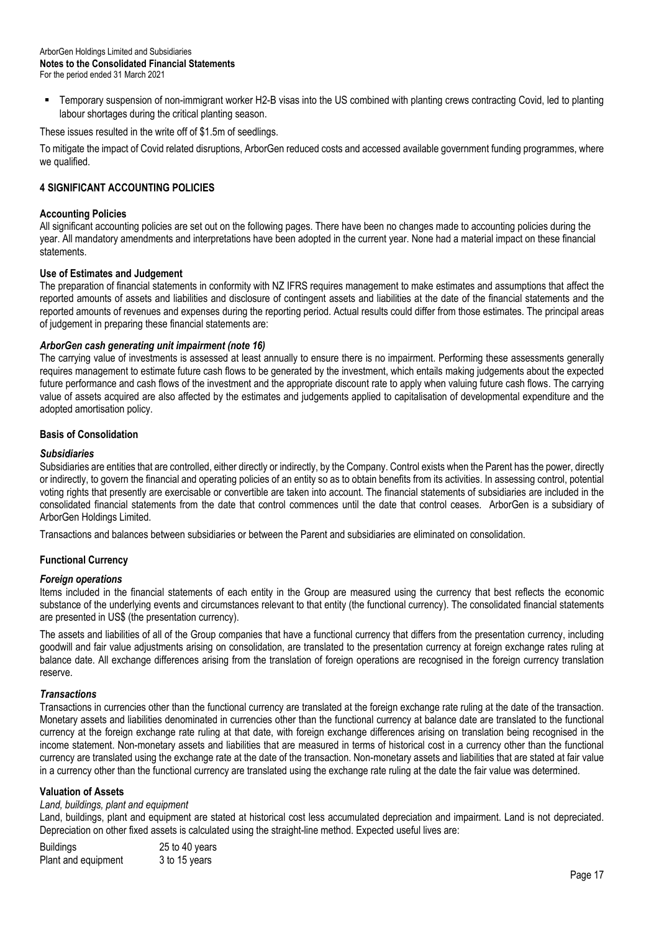Temporary suspension of non-immigrant worker H2-B visas into the US combined with planting crews contracting Covid, led to planting labour shortages during the critical planting season.

These issues resulted in the write off of \$1.5m of seedlings.

To mitigate the impact of Covid related disruptions, ArborGen reduced costs and accessed available government funding programmes, where we qualified.

## **4 SIGNIFICANT ACCOUNTING POLICIES**

## **Accounting Policies**

All significant accounting policies are set out on the following pages. There have been no changes made to accounting policies during the year. All mandatory amendments and interpretations have been adopted in the current year. None had a material impact on these financial statements.

## **Use of Estimates and Judgement**

The preparation of financial statements in conformity with NZ IFRS requires management to make estimates and assumptions that affect the reported amounts of assets and liabilities and disclosure of contingent assets and liabilities at the date of the financial statements and the reported amounts of revenues and expenses during the reporting period. Actual results could differ from those estimates. The principal areas of judgement in preparing these financial statements are:

## *ArborGen cash generating unit impairment (note 16)*

The carrying value of investments is assessed at least annually to ensure there is no impairment. Performing these assessments generally requires management to estimate future cash flows to be generated by the investment, which entails making judgements about the expected future performance and cash flows of the investment and the appropriate discount rate to apply when valuing future cash flows. The carrying value of assets acquired are also affected by the estimates and judgements applied to capitalisation of developmental expenditure and the adopted amortisation policy.

## **Basis of Consolidation**

## *Subsidiaries*

Subsidiaries are entities that are controlled, either directly or indirectly, by the Company. Control exists when the Parent has the power, directly or indirectly, to govern the financial and operating policies of an entity so as to obtain benefits from its activities. In assessing control, potential voting rights that presently are exercisable or convertible are taken into account. The financial statements of subsidiaries are included in the consolidated financial statements from the date that control commences until the date that control ceases. ArborGen is a subsidiary of ArborGen Holdings Limited.

Transactions and balances between subsidiaries or between the Parent and subsidiaries are eliminated on consolidation.

## **Functional Currency**

## *Foreign operations*

Items included in the financial statements of each entity in the Group are measured using the currency that best reflects the economic substance of the underlying events and circumstances relevant to that entity (the functional currency). The consolidated financial statements are presented in US\$ (the presentation currency).

The assets and liabilities of all of the Group companies that have a functional currency that differs from the presentation currency, including goodwill and fair value adjustments arising on consolidation, are translated to the presentation currency at foreign exchange rates ruling at balance date. All exchange differences arising from the translation of foreign operations are recognised in the foreign currency translation reserve.

## *Transactions*

Transactions in currencies other than the functional currency are translated at the foreign exchange rate ruling at the date of the transaction. Monetary assets and liabilities denominated in currencies other than the functional currency at balance date are translated to the functional currency at the foreign exchange rate ruling at that date, with foreign exchange differences arising on translation being recognised in the income statement. Non-monetary assets and liabilities that are measured in terms of historical cost in a currency other than the functional currency are translated using the exchange rate at the date of the transaction. Non-monetary assets and liabilities that are stated at fair value in a currency other than the functional currency are translated using the exchange rate ruling at the date the fair value was determined.

## **Valuation of Assets**

## *Land, buildings, plant and equipment*

Land, buildings, plant and equipment are stated at historical cost less accumulated depreciation and impairment. Land is not depreciated. Depreciation on other fixed assets is calculated using the straight-line method. Expected useful lives are:

| <b>Buildings</b>    | 25 to 40 years |
|---------------------|----------------|
| Plant and equipment | 3 to 15 years  |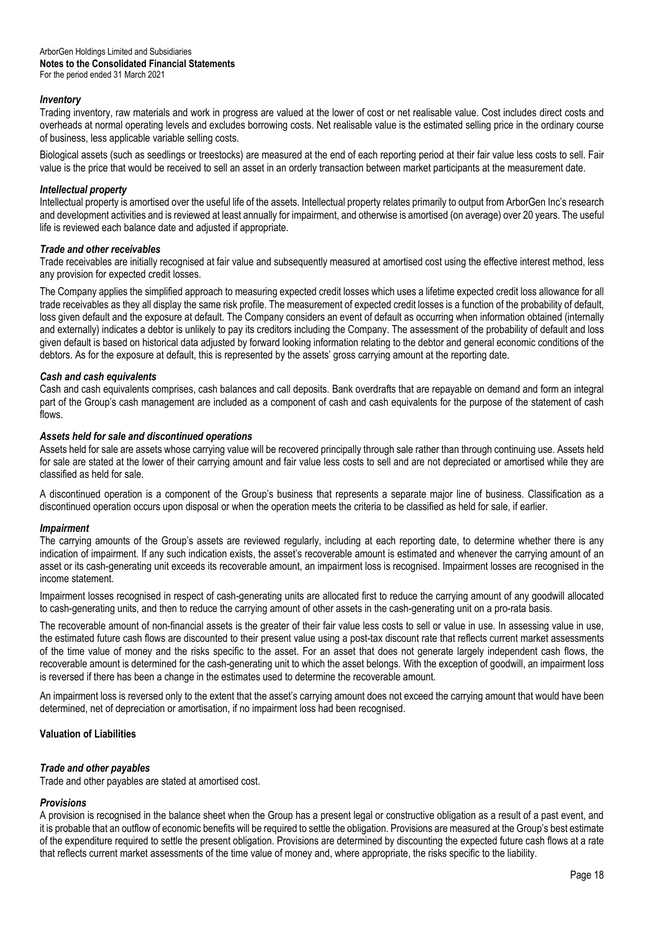## *Inventory*

Trading inventory, raw materials and work in progress are valued at the lower of cost or net realisable value. Cost includes direct costs and overheads at normal operating levels and excludes borrowing costs. Net realisable value is the estimated selling price in the ordinary course of business, less applicable variable selling costs.

Biological assets (such as seedlings or treestocks) are measured at the end of each reporting period at their fair value less costs to sell. Fair value is the price that would be received to sell an asset in an orderly transaction between market participants at the measurement date.

## *Intellectual property*

Intellectual property is amortised over the useful life of the assets. Intellectual property relates primarily to output from ArborGen Inc's research and development activities and is reviewed at least annually for impairment, and otherwise is amortised (on average) over 20 years. The useful life is reviewed each balance date and adjusted if appropriate.

## *Trade and other receivables*

Trade receivables are initially recognised at fair value and subsequently measured at amortised cost using the effective interest method, less any provision for expected credit losses.

The Company applies the simplified approach to measuring expected credit losses which uses a lifetime expected credit loss allowance for all trade receivables as they all display the same risk profile. The measurement of expected credit losses is a function of the probability of default, loss given default and the exposure at default. The Company considers an event of default as occurring when information obtained (internally and externally) indicates a debtor is unlikely to pay its creditors including the Company. The assessment of the probability of default and loss given default is based on historical data adjusted by forward looking information relating to the debtor and general economic conditions of the debtors. As for the exposure at default, this is represented by the assets' gross carrying amount at the reporting date.

## *Cash and cash equivalents*

Cash and cash equivalents comprises, cash balances and call deposits. Bank overdrafts that are repayable on demand and form an integral part of the Group's cash management are included as a component of cash and cash equivalents for the purpose of the statement of cash flows

## *Assets held for sale and discontinued operations*

Assets held for sale are assets whose carrying value will be recovered principally through sale rather than through continuing use. Assets held for sale are stated at the lower of their carrying amount and fair value less costs to sell and are not depreciated or amortised while they are classified as held for sale.

A discontinued operation is a component of the Group's business that represents a separate major line of business. Classification as a discontinued operation occurs upon disposal or when the operation meets the criteria to be classified as held for sale, if earlier.

## *Impairment*

The carrying amounts of the Group's assets are reviewed regularly, including at each reporting date, to determine whether there is any indication of impairment. If any such indication exists, the asset's recoverable amount is estimated and whenever the carrying amount of an asset or its cash-generating unit exceeds its recoverable amount, an impairment loss is recognised. Impairment losses are recognised in the income statement.

Impairment losses recognised in respect of cash-generating units are allocated first to reduce the carrying amount of any goodwill allocated to cash-generating units, and then to reduce the carrying amount of other assets in the cash-generating unit on a pro-rata basis.

The recoverable amount of non-financial assets is the greater of their fair value less costs to sell or value in use. In assessing value in use, the estimated future cash flows are discounted to their present value using a post-tax discount rate that reflects current market assessments of the time value of money and the risks specific to the asset. For an asset that does not generate largely independent cash flows, the recoverable amount is determined for the cash-generating unit to which the asset belongs. With the exception of goodwill, an impairment loss is reversed if there has been a change in the estimates used to determine the recoverable amount.

An impairment loss is reversed only to the extent that the asset's carrying amount does not exceed the carrying amount that would have been determined, net of depreciation or amortisation, if no impairment loss had been recognised.

## **Valuation of Liabilities**

## *Trade and other payables*

Trade and other payables are stated at amortised cost.

## *Provisions*

A provision is recognised in the balance sheet when the Group has a present legal or constructive obligation as a result of a past event, and it is probable that an outflow of economic benefits will be required to settle the obligation. Provisions are measured at the Group's best estimate of the expenditure required to settle the present obligation. Provisions are determined by discounting the expected future cash flows at a rate that reflects current market assessments of the time value of money and, where appropriate, the risks specific to the liability.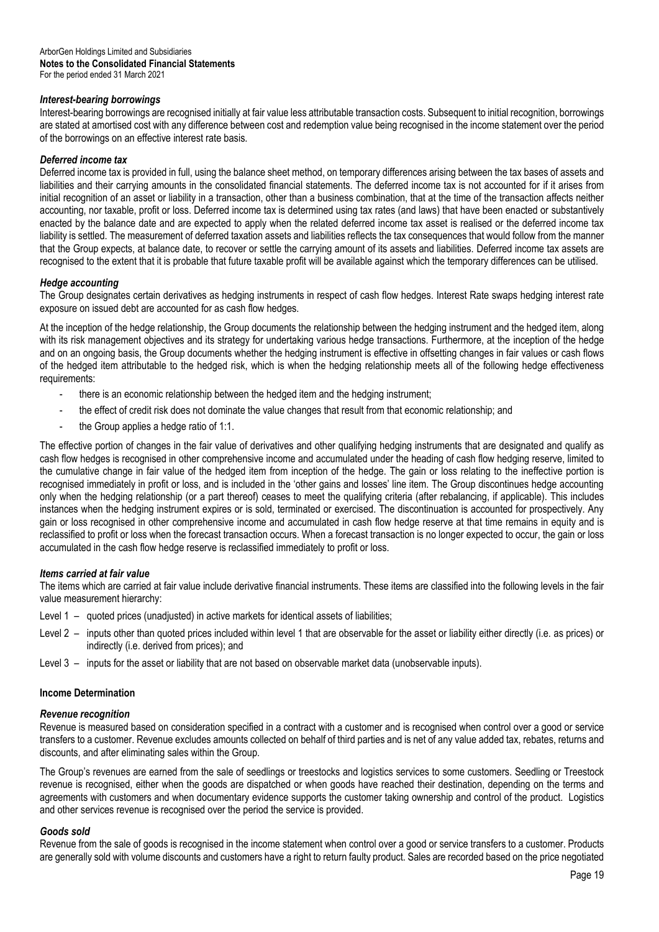## *Interest-bearing borrowings*

Interest-bearing borrowings are recognised initially at fair value less attributable transaction costs. Subsequent to initial recognition, borrowings are stated at amortised cost with any difference between cost and redemption value being recognised in the income statement over the period of the borrowings on an effective interest rate basis.

## *Deferred income tax*

Deferred income tax is provided in full, using the balance sheet method, on temporary differences arising between the tax bases of assets and liabilities and their carrying amounts in the consolidated financial statements. The deferred income tax is not accounted for if it arises from initial recognition of an asset or liability in a transaction, other than a business combination, that at the time of the transaction affects neither accounting, nor taxable, profit or loss. Deferred income tax is determined using tax rates (and laws) that have been enacted or substantively enacted by the balance date and are expected to apply when the related deferred income tax asset is realised or the deferred income tax liability is settled. The measurement of deferred taxation assets and liabilities reflects the tax consequences that would follow from the manner that the Group expects, at balance date, to recover or settle the carrying amount of its assets and liabilities. Deferred income tax assets are recognised to the extent that it is probable that future taxable profit will be available against which the temporary differences can be utilised.

## *Hedge accounting*

The Group designates certain derivatives as hedging instruments in respect of cash flow hedges. Interest Rate swaps hedging interest rate exposure on issued debt are accounted for as cash flow hedges.

At the inception of the hedge relationship, the Group documents the relationship between the hedging instrument and the hedged item, along with its risk management objectives and its strategy for undertaking various hedge transactions. Furthermore, at the inception of the hedge and on an ongoing basis, the Group documents whether the hedging instrument is effective in offsetting changes in fair values or cash flows of the hedged item attributable to the hedged risk, which is when the hedging relationship meets all of the following hedge effectiveness requirements:

- there is an economic relationship between the hedged item and the hedging instrument;
- the effect of credit risk does not dominate the value changes that result from that economic relationship; and
- the Group applies a hedge ratio of 1:1.

The effective portion of changes in the fair value of derivatives and other qualifying hedging instruments that are designated and qualify as cash flow hedges is recognised in other comprehensive income and accumulated under the heading of cash flow hedging reserve, limited to the cumulative change in fair value of the hedged item from inception of the hedge. The gain or loss relating to the ineffective portion is recognised immediately in profit or loss, and is included in the 'other gains and losses' line item. The Group discontinues hedge accounting only when the hedging relationship (or a part thereof) ceases to meet the qualifying criteria (after rebalancing, if applicable). This includes instances when the hedging instrument expires or is sold, terminated or exercised. The discontinuation is accounted for prospectively. Any gain or loss recognised in other comprehensive income and accumulated in cash flow hedge reserve at that time remains in equity and is reclassified to profit or loss when the forecast transaction occurs. When a forecast transaction is no longer expected to occur, the gain or loss accumulated in the cash flow hedge reserve is reclassified immediately to profit or loss.

## *Items carried at fair value*

The items which are carried at fair value include derivative financial instruments. These items are classified into the following levels in the fair value measurement hierarchy:

- Level 1 quoted prices (unadjusted) in active markets for identical assets of liabilities;
- Level 2 inputs other than quoted prices included within level 1 that are observable for the asset or liability either directly (i.e. as prices) or indirectly (i.e. derived from prices); and
- Level 3 inputs for the asset or liability that are not based on observable market data (unobservable inputs).

## **Income Determination**

## *Revenue recognition*

Revenue is measured based on consideration specified in a contract with a customer and is recognised when control over a good or service transfers to a customer. Revenue excludes amounts collected on behalf of third parties and is net of any value added tax, rebates, returns and discounts, and after eliminating sales within the Group.

The Group's revenues are earned from the sale of seedlings or treestocks and logistics services to some customers. Seedling or Treestock revenue is recognised, either when the goods are dispatched or when goods have reached their destination, depending on the terms and agreements with customers and when documentary evidence supports the customer taking ownership and control of the product. Logistics and other services revenue is recognised over the period the service is provided.

## *Goods sold*

Revenue from the sale of goods is recognised in the income statement when control over a good or service transfers to a customer. Products are generally sold with volume discounts and customers have a right to return faulty product. Sales are recorded based on the price negotiated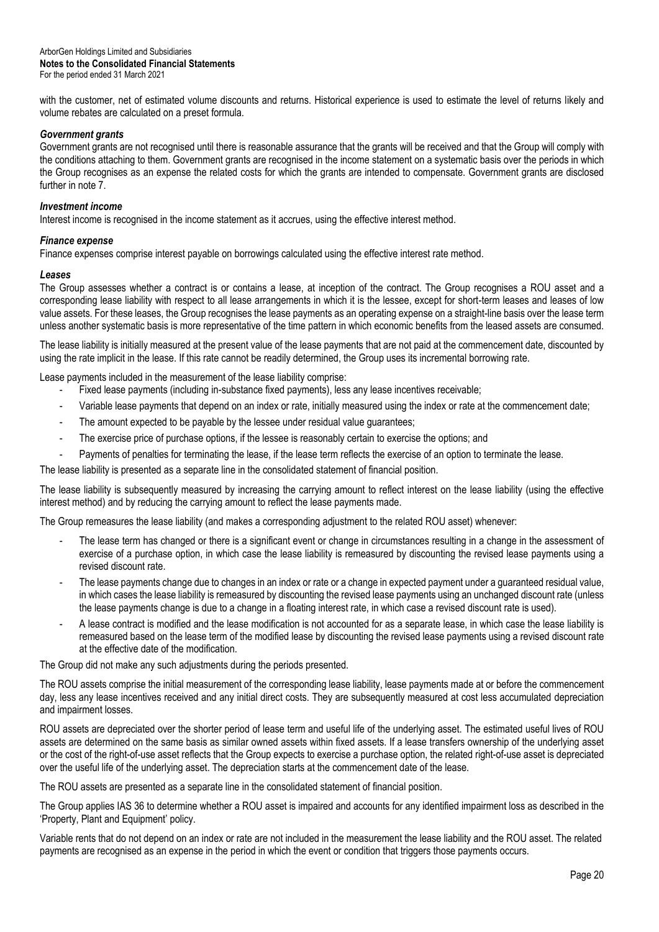with the customer, net of estimated volume discounts and returns. Historical experience is used to estimate the level of returns likely and volume rebates are calculated on a preset formula.

## *Government grants*

Government grants are not recognised until there is reasonable assurance that the grants will be received and that the Group will comply with the conditions attaching to them. Government grants are recognised in the income statement on a systematic basis over the periods in which the Group recognises as an expense the related costs for which the grants are intended to compensate. Government grants are disclosed further in note 7.

## *Investment income*

Interest income is recognised in the income statement as it accrues, using the effective interest method.

## *Finance expense*

Finance expenses comprise interest payable on borrowings calculated using the effective interest rate method.

## *Leases*

The Group assesses whether a contract is or contains a lease, at inception of the contract. The Group recognises a ROU asset and a corresponding lease liability with respect to all lease arrangements in which it is the lessee, except for short-term leases and leases of low value assets. For these leases, the Group recognises the lease payments as an operating expense on a straight-line basis over the lease term unless another systematic basis is more representative of the time pattern in which economic benefits from the leased assets are consumed.

The lease liability is initially measured at the present value of the lease payments that are not paid at the commencement date, discounted by using the rate implicit in the lease. If this rate cannot be readily determined, the Group uses its incremental borrowing rate.

Lease payments included in the measurement of the lease liability comprise:

- Fixed lease payments (including in-substance fixed payments), less any lease incentives receivable;
- Variable lease payments that depend on an index or rate, initially measured using the index or rate at the commencement date;
- The amount expected to be payable by the lessee under residual value quarantees;
- The exercise price of purchase options, if the lessee is reasonably certain to exercise the options; and
- Payments of penalties for terminating the lease, if the lease term reflects the exercise of an option to terminate the lease.

The lease liability is presented as a separate line in the consolidated statement of financial position.

The lease liability is subsequently measured by increasing the carrying amount to reflect interest on the lease liability (using the effective interest method) and by reducing the carrying amount to reflect the lease payments made.

The Group remeasures the lease liability (and makes a corresponding adjustment to the related ROU asset) whenever:

- The lease term has changed or there is a significant event or change in circumstances resulting in a change in the assessment of exercise of a purchase option, in which case the lease liability is remeasured by discounting the revised lease payments using a revised discount rate.
- The lease payments change due to changes in an index or rate or a change in expected payment under a guaranteed residual value, in which cases the lease liability is remeasured by discounting the revised lease payments using an unchanged discount rate (unless the lease payments change is due to a change in a floating interest rate, in which case a revised discount rate is used).
- A lease contract is modified and the lease modification is not accounted for as a separate lease, in which case the lease liability is remeasured based on the lease term of the modified lease by discounting the revised lease payments using a revised discount rate at the effective date of the modification.

The Group did not make any such adjustments during the periods presented.

The ROU assets comprise the initial measurement of the corresponding lease liability, lease payments made at or before the commencement day, less any lease incentives received and any initial direct costs. They are subsequently measured at cost less accumulated depreciation and impairment losses.

ROU assets are depreciated over the shorter period of lease term and useful life of the underlying asset. The estimated useful lives of ROU assets are determined on the same basis as similar owned assets within fixed assets. If a lease transfers ownership of the underlying asset or the cost of the right-of-use asset reflects that the Group expects to exercise a purchase option, the related right-of-use asset is depreciated over the useful life of the underlying asset. The depreciation starts at the commencement date of the lease.

The ROU assets are presented as a separate line in the consolidated statement of financial position.

The Group applies IAS 36 to determine whether a ROU asset is impaired and accounts for any identified impairment loss as described in the 'Property, Plant and Equipment' policy.

Variable rents that do not depend on an index or rate are not included in the measurement the lease liability and the ROU asset. The related payments are recognised as an expense in the period in which the event or condition that triggers those payments occurs.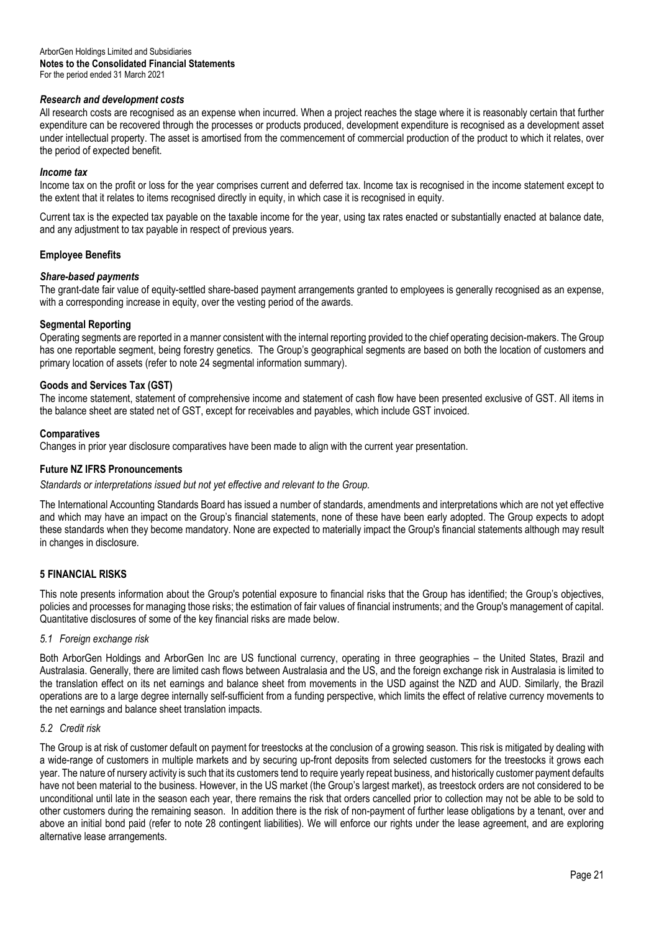## *Research and development costs*

All research costs are recognised as an expense when incurred. When a project reaches the stage where it is reasonably certain that further expenditure can be recovered through the processes or products produced, development expenditure is recognised as a development asset under intellectual property. The asset is amortised from the commencement of commercial production of the product to which it relates, over the period of expected benefit.

## *Income tax*

Income tax on the profit or loss for the year comprises current and deferred tax. Income tax is recognised in the income statement except to the extent that it relates to items recognised directly in equity, in which case it is recognised in equity.

Current tax is the expected tax payable on the taxable income for the year, using tax rates enacted or substantially enacted at balance date, and any adjustment to tax payable in respect of previous years.

## **Employee Benefits**

## *Share-based payments*

The grant-date fair value of equity-settled share-based payment arrangements granted to employees is generally recognised as an expense, with a corresponding increase in equity, over the vesting period of the awards.

## **Segmental Reporting**

Operating segments are reported in a manner consistent with the internal reporting provided to the chief operating decision-makers. The Group has one reportable segment, being forestry genetics. The Group's geographical segments are based on both the location of customers and primary location of assets (refer to note 24 segmental information summary).

## **Goods and Services Tax (GST)**

The income statement, statement of comprehensive income and statement of cash flow have been presented exclusive of GST. All items in the balance sheet are stated net of GST, except for receivables and payables, which include GST invoiced.

## **Comparatives**

Changes in prior year disclosure comparatives have been made to align with the current year presentation.

## **Future NZ IFRS Pronouncements**

*Standards or interpretations issued but not yet effective and relevant to the Group.*

The International Accounting Standards Board has issued a number of standards, amendments and interpretations which are not yet effective and which may have an impact on the Group's financial statements, none of these have been early adopted. The Group expects to adopt these standards when they become mandatory. None are expected to materially impact the Group's financial statements although may result in changes in disclosure*.*

## **5 FINANCIAL RISKS**

This note presents information about the Group's potential exposure to financial risks that the Group has identified; the Group's objectives, policies and processes for managing those risks; the estimation of fair values of financial instruments; and the Group's management of capital. Quantitative disclosures of some of the key financial risks are made below.

## *5.1 Foreign exchange risk*

Both ArborGen Holdings and ArborGen Inc are US functional currency, operating in three geographies – the United States, Brazil and Australasia. Generally, there are limited cash flows between Australasia and the US, and the foreign exchange risk in Australasia is limited to the translation effect on its net earnings and balance sheet from movements in the USD against the NZD and AUD. Similarly, the Brazil operations are to a large degree internally self-sufficient from a funding perspective, which limits the effect of relative currency movements to the net earnings and balance sheet translation impacts.

## *5.2 Credit risk*

The Group is at risk of customer default on payment for treestocks at the conclusion of a growing season. This risk is mitigated by dealing with a wide-range of customers in multiple markets and by securing up-front deposits from selected customers for the treestocks it grows each year. The nature of nursery activity is such that its customers tend to require yearly repeat business, and historically customer payment defaults have not been material to the business. However, in the US market (the Group's largest market), as treestock orders are not considered to be unconditional until late in the season each year, there remains the risk that orders cancelled prior to collection may not be able to be sold to other customers during the remaining season. In addition there is the risk of non-payment of further lease obligations by a tenant, over and above an initial bond paid (refer to note 28 contingent liabilities). We will enforce our rights under the lease agreement, and are exploring alternative lease arrangements.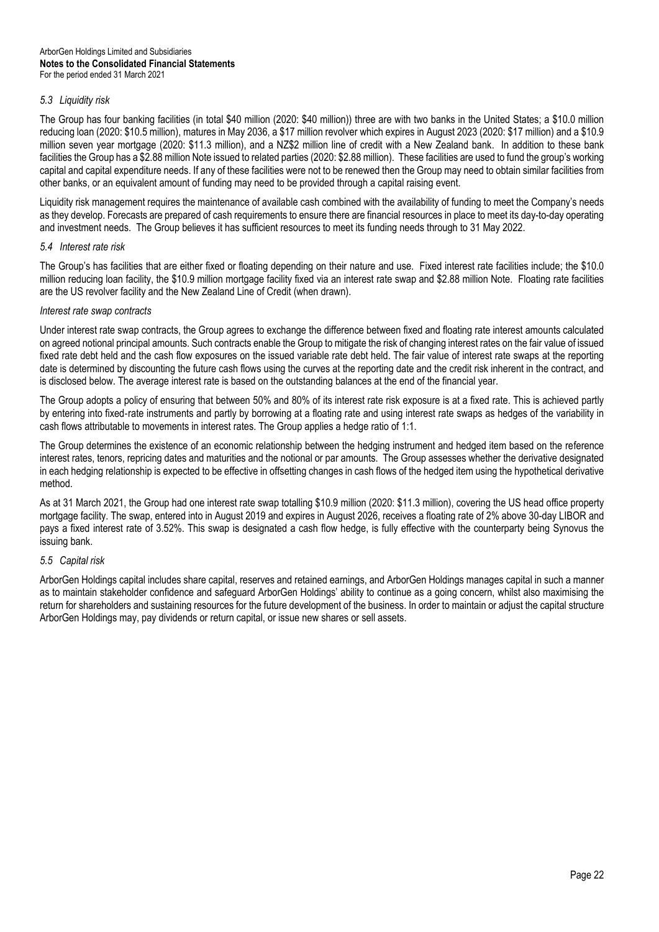## *5.3 Liquidity risk*

The Group has four banking facilities (in total \$40 million (2020: \$40 million)) three are with two banks in the United States; a \$10.0 million reducing loan (2020: \$10.5 million), matures in May 2036, a \$17 million revolver which expires in August 2023 (2020: \$17 million) and a \$10.9 million seven year mortgage (2020: \$11.3 million), and a NZ\$2 million line of credit with a New Zealand bank. In addition to these bank facilities the Group has a \$2.88 million Note issued to related parties (2020: \$2.88 million). These facilities are used to fund the group's working capital and capital expenditure needs. If any of these facilities were not to be renewed then the Group may need to obtain similar facilities from other banks, or an equivalent amount of funding may need to be provided through a capital raising event.

Liquidity risk management requires the maintenance of available cash combined with the availability of funding to meet the Company's needs as they develop. Forecasts are prepared of cash requirements to ensure there are financial resources in place to meet its day-to-day operating and investment needs. The Group believes it has sufficient resources to meet its funding needs through to 31 May 2022.

## *5.4 Interest rate risk*

The Group's has facilities that are either fixed or floating depending on their nature and use. Fixed interest rate facilities include; the \$10.0 million reducing loan facility, the \$10.9 million mortgage facility fixed via an interest rate swap and \$2.88 million Note. Floating rate facilities are the US revolver facility and the New Zealand Line of Credit (when drawn).

## *Interest rate swap contracts*

Under interest rate swap contracts, the Group agrees to exchange the difference between fixed and floating rate interest amounts calculated on agreed notional principal amounts. Such contracts enable the Group to mitigate the risk of changing interest rates on the fair value of issued fixed rate debt held and the cash flow exposures on the issued variable rate debt held. The fair value of interest rate swaps at the reporting date is determined by discounting the future cash flows using the curves at the reporting date and the credit risk inherent in the contract, and is disclosed below. The average interest rate is based on the outstanding balances at the end of the financial year.

The Group adopts a policy of ensuring that between 50% and 80% of its interest rate risk exposure is at a fixed rate. This is achieved partly by entering into fixed‑rate instruments and partly by borrowing at a floating rate and using interest rate swaps as hedges of the variability in cash flows attributable to movements in interest rates. The Group applies a hedge ratio of 1:1.

The Group determines the existence of an economic relationship between the hedging instrument and hedged item based on the reference interest rates, tenors, repricing dates and maturities and the notional or par amounts. The Group assesses whether the derivative designated in each hedging relationship is expected to be effective in offsetting changes in cash flows of the hedged item using the hypothetical derivative method.

As at 31 March 2021, the Group had one interest rate swap totalling \$10.9 million (2020: \$11.3 million), covering the US head office property mortgage facility. The swap, entered into in August 2019 and expires in August 2026, receives a floating rate of 2% above 30-day LIBOR and pays a fixed interest rate of 3.52%. This swap is designated a cash flow hedge, is fully effective with the counterparty being Synovus the issuing bank.

## *5.5 Capital risk*

ArborGen Holdings capital includes share capital, reserves and retained earnings, and ArborGen Holdings manages capital in such a manner as to maintain stakeholder confidence and safeguard ArborGen Holdings' ability to continue as a going concern, whilst also maximising the return for shareholders and sustaining resources for the future development of the business. In order to maintain or adjust the capital structure ArborGen Holdings may, pay dividends or return capital, or issue new shares or sell assets.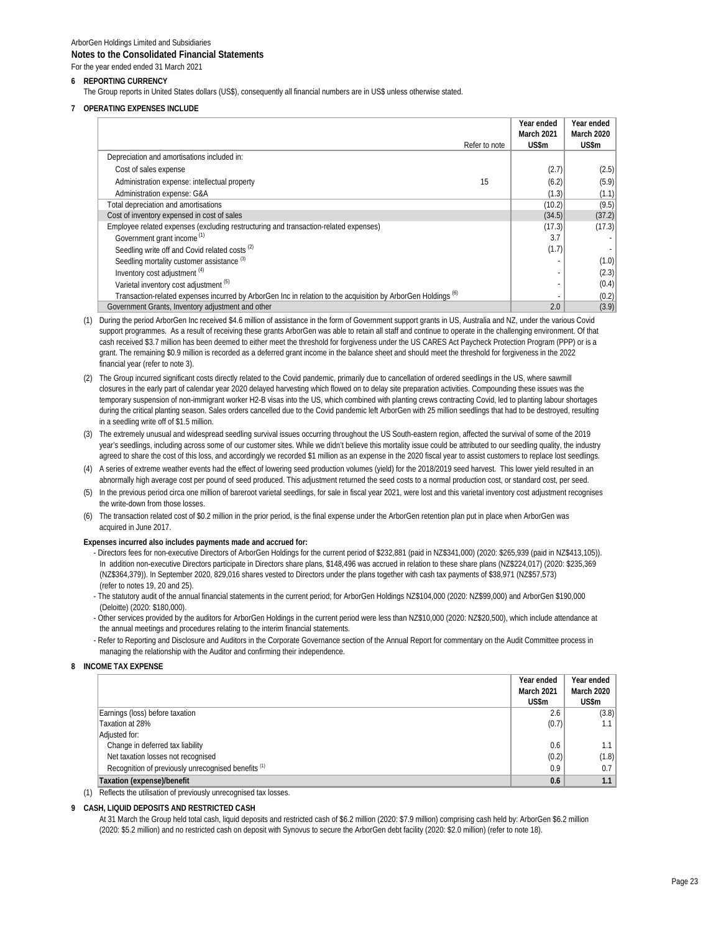#### **6 REPORTING CURRENCY**

The Group reports in United States dollars (US\$), consequently all financial numbers are in US\$ unless otherwise stated.

#### **7 OPERATING EXPENSES INCLUDE**

|                                                                                                                          |               | Year ended        | Year ended |
|--------------------------------------------------------------------------------------------------------------------------|---------------|-------------------|------------|
|                                                                                                                          |               | <b>March 2021</b> | March 2020 |
|                                                                                                                          | Refer to note | US\$m             | US\$m      |
| Depreciation and amortisations included in:                                                                              |               |                   |            |
| Cost of sales expense                                                                                                    |               | (2.7)             | (2.5)      |
| Administration expense: intellectual property                                                                            | 15            | (6.2)             | (5.9)      |
| Administration expense: G&A                                                                                              |               | (1.3)             | (1.1)      |
| Total depreciation and amortisations                                                                                     |               | (10.2)            | (9.5)      |
| Cost of inventory expensed in cost of sales                                                                              |               | (34.5)            | (37.2)     |
| Employee related expenses (excluding restructuring and transaction-related expenses)                                     |               | (17.3)            | (17.3)     |
| Government grant income <sup>(1)</sup>                                                                                   |               | 3.7               |            |
| Seedling write off and Covid related costs <sup>(2)</sup>                                                                |               | (1.7)             |            |
| Seedling mortality customer assistance <sup>(3)</sup>                                                                    |               |                   | (1.0)      |
| Inventory cost adjustment (4)                                                                                            |               |                   | (2.3)      |
| Varietal inventory cost adiustment (5)                                                                                   |               |                   | (0.4)      |
| Transaction-related expenses incurred by ArborGen Inc in relation to the acquisition by ArborGen Holdings <sup>(6)</sup> |               |                   | (0.2)      |
| Government Grants, Inventory adjustment and other                                                                        |               | 2.0               | (3.9)      |

- (1) During the period ArborGen Inc received \$4.6 million of assistance in the form of Government support grants in US, Australia and NZ, under the various Covid support programmes. As a result of receiving these grants ArborGen was able to retain all staff and continue to operate in the challenging environment. Of that cash received \$3.7 million has been deemed to either meet the threshold for forgiveness under the US CARES Act Paycheck Protection Program (PPP) or is a grant. The remaining \$0.9 million is recorded as a deferred grant income in the balance sheet and should meet the threshold for forgiveness in the 2022 financial year (refer to note 3).
- (2) The Group incurred significant costs directly related to the Covid pandemic, primarily due to cancellation of ordered seedlings in the US, where sawmill closures in the early part of calendar year 2020 delayed harvesting which flowed on to delay site preparation activities. Compounding these issues was the temporary suspension of non-immigrant worker H2-B visas into the US, which combined with planting crews contracting Covid, led to planting labour shortages during the critical planting season. Sales orders cancelled due to the Covid pandemic left ArborGen with 25 million seedlings that had to be destroyed, resulting in a seedling write off of \$1.5 million.
- (3) The extremely unusual and widespread seedling survival issues occurring throughout the US South-eastern region, affected the survival of some of the 2019 year's seedlings, including across some of our customer sites. While we didn't believe this mortality issue could be attributed to our seedling quality, the industry agreed to share the cost of this loss, and accordingly we recorded \$1 million as an expense in the 2020 fiscal year to assist customers to replace lost seedlings.
- (4) A series of extreme weather events had the effect of lowering seed production volumes (yield) for the 2018/2019 seed harvest. This lower yield resulted in an abnormally high average cost per pound of seed produced. This adjustment returned the seed costs to a normal production cost, or standard cost, per seed.
- (5) In the previous period circa one million of bareroot varietal seedlings, for sale in fiscal year 2021, were lost and this varietal inventory cost adjustment recognises the write-down from those losses.
- The transaction related cost of \$0.2 million in the prior period, is the final expense under the ArborGen retention plan put in place when ArborGen was acquired in June 2017.

#### **Expenses incurred also includes payments made and accrued for:**

- Directors fees for non-executive Directors of ArborGen Holdings for the current period of \$232,881 (paid in NZ\$341,000) (2020: \$265,939 (paid in NZ\$413,105)). In addition non-executive Directors participate in Directors share plans, \$148,496 was accrued in relation to these share plans (NZ\$224,017) (2020: \$235,369 (NZ\$364,379)). In September 2020, 829,016 shares vested to Directors under the plans together with cash tax payments of \$38,971 (NZ\$57,573) (refer to notes 19, 20 and 25).
- The statutory audit of the annual financial statements in the current period; for ArborGen Holdings NZ\$104,000 (2020: NZ\$99,000) and ArborGen \$190,000 (Deloitte) (2020: \$180,000).
- Other services provided by the auditors for ArborGen Holdings in the current period were less than NZ\$10,000 (2020: NZ\$20,500), which include attendance at the annual meetings and procedures relating to the interim financial statements.
- Refer to Reporting and Disclosure and Auditors in the Corporate Governance section of the Annual Report for commentary on the Audit Committee process in managing the relationship with the Auditor and confirming their independence.

#### **8 INCOME TAX EXPENSE**

|                                                                  | Year ended        | Year ended  |
|------------------------------------------------------------------|-------------------|-------------|
|                                                                  | <b>March 2021</b> | March 2020  |
|                                                                  | US\$m             | US\$m       |
| Earnings (loss) before taxation                                  | 2.6               | (3.8)       |
| Taxation at 28%                                                  | (0.7)             | $1.1 \perp$ |
| Adjusted for:                                                    |                   |             |
| Change in deferred tax liability                                 | 0.6               | $1.1 \perp$ |
| Net taxation losses not recognised                               | (0.2)             | (1.8)       |
| Recognition of previously unrecognised benefits (1)              | 0.9               | 0.7         |
| Taxation (expense)/benefit                                       | 0.6               | 1.1         |
| Deflects the utilisation of provisualy uproposable of toy lococo |                   |             |

(1) Reflects the utilisation of previously unrecognised tax losses.

#### **9 CASH, LIQUID DEPOSITS AND RESTRICTED CASH**

At 31 March the Group held total cash, liquid deposits and restricted cash of \$6.2 million (2020: \$7.9 million) comprising cash held by: ArborGen \$6.2 million (2020: \$5.2 million) and no restricted cash on deposit with Synovus to secure the ArborGen debt facility (2020: \$2.0 million) (refer to note 18).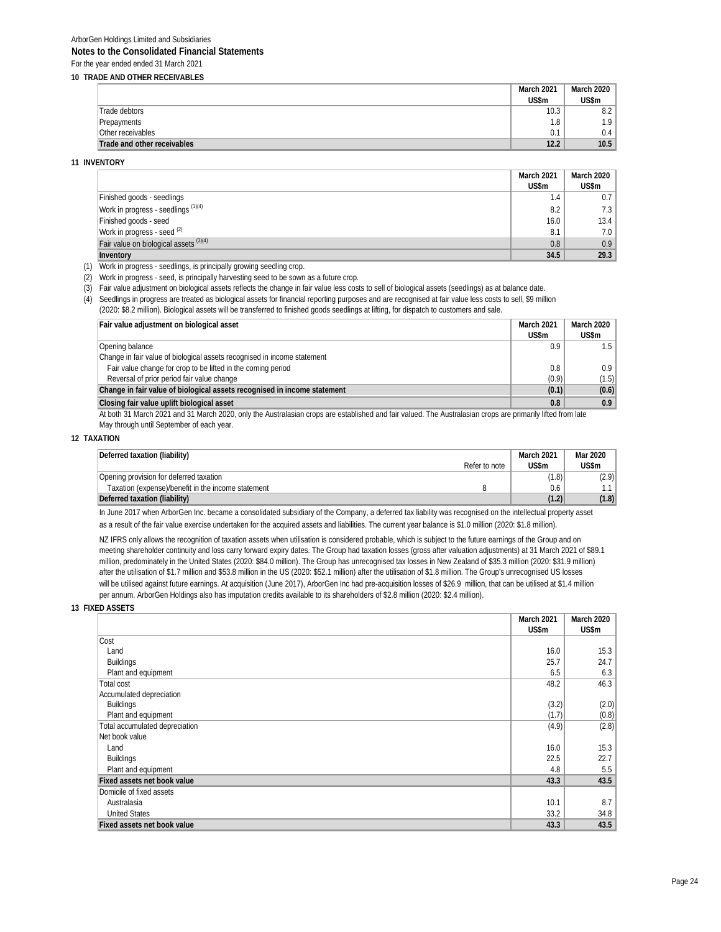|                             | March 2021 | March 2020       |
|-----------------------------|------------|------------------|
|                             | US\$m      | US\$m            |
| Trade debtors               | 10.3       | 8.2              |
| Prepayments                 | 1.8        | 1.9 <sup>2</sup> |
| Other receivables           | 0.1        | 0.4              |
| Trade and other receivables | 12.2       | 10.5             |

**11 INVENTORY**

|                                        | March 2021 | March 2020 |
|----------------------------------------|------------|------------|
|                                        | US\$m      | US\$m      |
| Finished goods - seedlings             | 1.4        | 0.7        |
| Work in progress - seedlings $(1)(4)$  | 8.2        | 7.3        |
| Finished goods - seed                  | 16.0       | 13.4       |
| Work in progress - seed (2)            | 8.1        | 7.0        |
| Fair value on biological assets (3)(4) | 0.8        | 0.9        |
| Inventory                              | 34.5       | 29.3       |

(1) Work in progress - seedlings, is principally growing seedling crop.

(2) Work in progress - seed, is principally harvesting seed to be sown as a future crop.

(3) Fair value adjustment on biological assets reflects the change in fair value less costs to sell of biological assets (seedlings) as at balance date.

(4) Seedlings in progress are treated as biological assets for financial reporting purposes and are recognised at fair value less costs to sell, \$9 million

(2020: \$8.2 million). Biological assets will be transferred to finished goods seedlings at lifting, for dispatch to customers and sale.

| Fair value adjustment on biological asset                                                                                                                                                                                      | <b>March 2021</b> | March 2020 |
|--------------------------------------------------------------------------------------------------------------------------------------------------------------------------------------------------------------------------------|-------------------|------------|
|                                                                                                                                                                                                                                | US\$m             | US\$m      |
| Opening balance                                                                                                                                                                                                                | 0.9               | 1.5 I      |
| Change in fair value of biological assets recognised in income statement                                                                                                                                                       |                   |            |
| Fair value change for crop to be lifted in the coming period                                                                                                                                                                   | 0.8               | 0.9        |
| Reversal of prior period fair value change                                                                                                                                                                                     | (0.9)             | (1.5)      |
| Change in fair value of biological assets recognised in income statement                                                                                                                                                       | (0.1)             | (0.6)      |
| Closing fair value uplift biological asset                                                                                                                                                                                     | 0.8               | 0.9        |
| At both 21 Monde 2021 and 21 Monde 2020, only the Audunted on a concern our additional and four under a Audunted on a composite the distribution of the district of the district of the second terms of the district of the se |                   |            |

At both 31 March 2021 and 31 March 2020, only the Australasian crops are established and fair valued. The Australasian crops are primarily lifted from late May through until September of each year.

#### **12 TAXATION**

| Deferred taxation (liability)                      |               | March 2021 | Mar 2020 |
|----------------------------------------------------|---------------|------------|----------|
|                                                    | Refer to note | US\$m      | US\$m    |
| Opening provision for deferred taxation            |               | (1.8)      | (2.9)    |
| Taxation (expense)/benefit in the income statement |               | 0.6        |          |
| Deferred taxation (liability)                      |               | (1.2)      | (1.8)    |

In June 2017 when ArborGen Inc. became a consolidated subsidiary of the Company, a deferred tax liability was recognised on the intellectual property asset as a result of the fair value exercise undertaken for the acquired assets and liabilities. The current year balance is \$1.0 million (2020: \$1.8 million).

NZ IFRS only allows the recognition of taxation assets when utilisation is considered probable, which is subject to the future earnings of the Group and on meeting shareholder continuity and loss carry forward expiry dates. The Group had taxation losses (gross after valuation adjustments) at 31 March 2021 of \$89.1 million, predominately in the United States (2020: \$84.0 million). The Group has unrecognised tax losses in New Zealand of \$35.3 million (2020: \$31.9 million) after the utilisation of \$1.7 million and \$53.8 million in the US (2020: \$52.1 million) after the utilisation of \$1.8 million. The Group's unrecognised US losses will be utilised against future earnings. At acquisition (June 2017), ArborGen Inc had pre-acquisition losses of \$26.9 million, that can be utilised at \$1.4 million per annum. ArborGen Holdings also has imputation credits available to its shareholders of \$2.8 million (2020: \$2.4 million).

#### **13 FIXED ASSETS**

|                                    | March 2021 | March 2020 |
|------------------------------------|------------|------------|
|                                    | US\$m      | US\$m      |
| Cost                               |            |            |
| Land                               | 16.0       | 15.3       |
| <b>Buildings</b>                   | 25.7       | 24.7       |
| Plant and equipment                | 6.5        | 6.3        |
| <b>Total cost</b>                  | 48.2       | 46.3       |
| Accumulated depreciation           |            |            |
| <b>Buildings</b>                   | (3.2)      | (2.0)      |
| Plant and equipment                | (1.7)      | (0.8)      |
| Total accumulated depreciation     | (4.9)      | (2.8)      |
| Net book value                     |            |            |
| Land                               | 16.0       | 15.3       |
| <b>Buildings</b>                   | 22.5       | 22.7       |
| Plant and equipment                | 4.8        | 5.5        |
| Fixed assets net book value        | 43.3       | 43.5       |
| Domicile of fixed assets           |            |            |
| Australasia                        | 10.1       | 8.7        |
| <b>United States</b>               | 33.2       | 34.8       |
| <b>Fixed assets net book value</b> | 43.3       | 43.5       |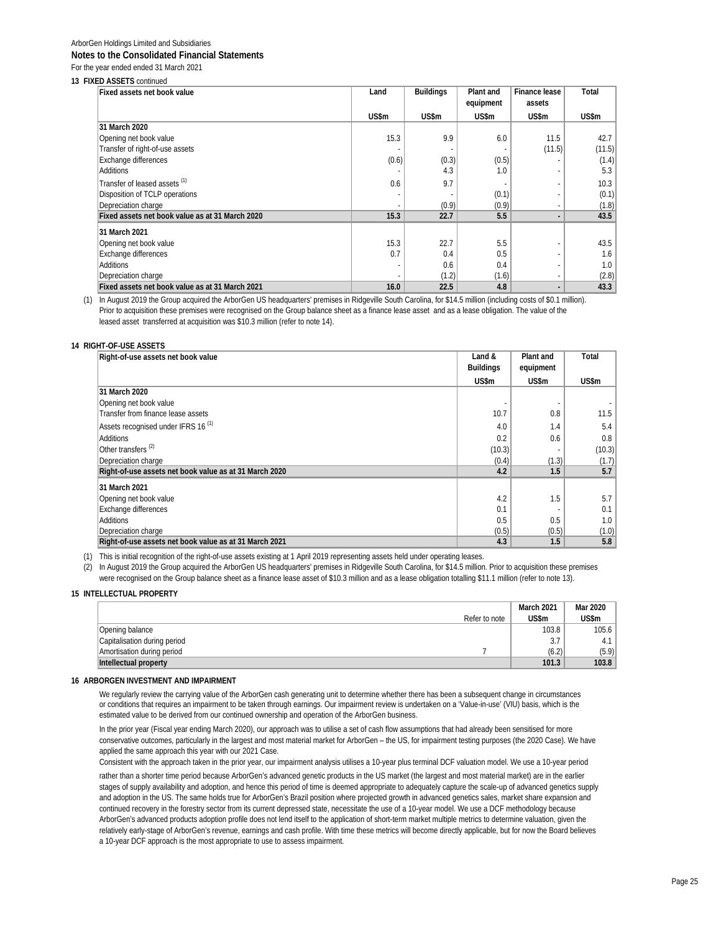## **13 FIXED ASSETS** continued

| <b>Fixed assets net book value</b>              | Land  | <b>Buildings</b> | Plant and | Finance lease | Total  |
|-------------------------------------------------|-------|------------------|-----------|---------------|--------|
|                                                 |       |                  | equipment | assets        |        |
|                                                 | US\$m | US\$m            | US\$m     | US\$m         | US\$m  |
| 31 March 2020                                   |       |                  |           |               |        |
| Opening net book value                          | 15.3  | 9.9              | 6.0       | 11.5          | 42.7   |
| Transfer of right-of-use assets                 |       |                  |           | (11.5)        | (11.5) |
| <b>Exchange differences</b>                     | (0.6) | (0.3)            | (0.5)     |               | (1.4)  |
| Additions                                       |       | 4.3              | 1.0       |               | 5.3    |
| Transfer of leased assets (1)                   | 0.6   | 9.7              |           |               | 10.3   |
| Disposition of TCLP operations                  |       |                  | (0.1)     |               | (0.1)  |
| Depreciation charge                             |       | (0.9)            | (0.9)     | ٠             | (1.8)  |
| Fixed assets net book value as at 31 March 2020 | 15.3  | 22.7             | 5.5       |               | 43.5   |
| 31 March 2021                                   |       |                  |           |               |        |
| Opening net book value                          | 15.3  | 22.7             | 5.5       |               | 43.5   |
| Exchange differences                            | 0.7   | 0.4              | 0.5       | ٠             | 1.6    |
| Additions                                       |       | 0.6              | 0.4       | ٠             | 1.0    |
| Depreciation charge                             |       | (1.2)            | (1.6)     | ٠             | (2.8)  |
| Fixed assets net book value as at 31 March 2021 | 16.0  | 22.5             | 4.8       |               | 43.3   |

(1) In August 2019 the Group acquired the ArborGen US headquarters' premises in Ridgeville South Carolina, for \$14.5 million (including costs of \$0.1 million). Prior to acquisition these premises were recognised on the Group balance sheet as a finance lease asset and as a lease obligation. The value of the leased asset transferred at acquisition was \$10.3 million (refer to note 14).

#### **14 RIGHT-OF-USE ASSETS**

| Right-of-use assets net book value                     | Land &           | Plant and | Total  |
|--------------------------------------------------------|------------------|-----------|--------|
|                                                        | <b>Buildings</b> | equipment |        |
|                                                        | US\$m            | US\$m     | US\$m  |
| 31 March 2020                                          |                  |           |        |
| Opening net book value                                 |                  |           |        |
| Transfer from finance lease assets                     | 10.7             | 0.8       | 11.5   |
| Assets recognised under IFRS 16 <sup>(1)</sup>         | 4.0              | 1.4       | 5.4    |
| Additions                                              | 0.2              | 0.6       | 0.8    |
| Other transfers <sup>(2)</sup>                         | (10.3)           |           | (10.3) |
| Depreciation charge                                    | (0.4)            | (1.3)     | (1.7)  |
| Right-of-use assets net book value as at 31 March 2020 | 4.2              | 1.5       | 5.7    |
| 31 March 2021                                          |                  |           |        |
| Opening net book value                                 | 4.2              | 1.5       | 5.7    |
| <b>Exchange differences</b>                            | 0.1              |           | 0.1    |
| Additions                                              | 0.5              | 0.5       | 1.0    |
| Depreciation charge                                    | (0.5)            | (0.5)     | (1.0)  |
| Right-of-use assets net book value as at 31 March 2021 | 4.3              | 1.5       | 5.8    |

(1) This is initial recognition of the right-of-use assets existing at 1 April 2019 representing assets held under operating leases.

(2) In August 2019 the Group acquired the ArborGen US headquarters' premises in Ridgeville South Carolina, for \$14.5 million. Prior to acquisition these premises were recognised on the Group balance sheet as a finance lease asset of \$10.3 million and as a lease obligation totalling \$11.1 million (refer to note 13).

#### **15 INTELLECTUAL PROPERTY 0**

|                              | Refer to note | March 2021<br>US\$m | Mar 2020<br>US\$m |
|------------------------------|---------------|---------------------|-------------------|
| Opening balance              |               | 103.8               | 105.6             |
| Capitalisation during period |               | 3.7                 |                   |
| Amortisation during period   |               | (6.2)               | (5.9)             |
| Intellectual property        |               | 101.3               | 103.8             |

#### **16 ARBORGEN INVESTMENT AND IMPAIRMENT**

We regularly review the carrying value of the ArborGen cash generating unit to determine whether there has been a subsequent change in circumstances or conditions that requires an impairment to be taken through earnings. Our impairment review is undertaken on a 'Value-in-use' (VIU) basis, which is the estimated value to be derived from our continued ownership and operation of the ArborGen business.

In the prior year (Fiscal year ending March 2020), our approach was to utilise a set of cash flow assumptions that had already been sensitised for more conservative outcomes, particularly in the largest and most material market for ArborGen – the US, for impairment testing purposes (the 2020 Case). We have applied the same approach this year with our 2021 Case.

Consistent with the approach taken in the prior year, our impairment analysis utilises a 10-year plus terminal DCF valuation model. We use a 10-year period

rather than a shorter time period because ArborGen's advanced genetic products in the US market (the largest and most material market) are in the earlier stages of supply availability and adoption, and hence this period of time is deemed appropriate to adequately capture the scale-up of advanced genetics supply and adoption in the US. The same holds true for ArborGen's Brazil position where projected growth in advanced genetics sales, market share expansion and continued recovery in the forestry sector from its current depressed state, necessitate the use of a 10-year model. We use a DCF methodology because ArborGen's advanced products adoption profile does not lend itself to the application of short-term market multiple metrics to determine valuation, given the relatively early-stage of ArborGen's revenue, earnings and cash profile. With time these metrics will become directly applicable, but for now the Board believes a 10-year DCF approach is the most appropriate to use to assess impairment.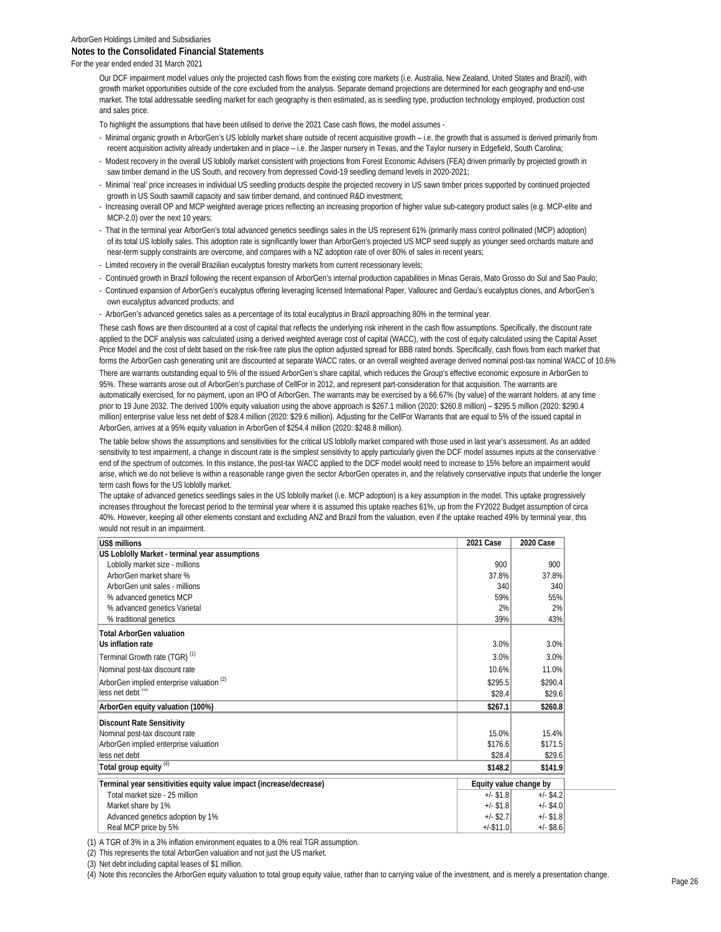## ArborGen Holdings Limited and Subsidiaries **Notes to the Consolidated Financial Statements**

For the year ended ended 31 March 2021

Our DCF impairment model values only the projected cash flows from the existing core markets (i.e. Australia, New Zealand, United States and Brazil), with growth market opportunities outside of the core excluded from the analysis. Separate demand projections are determined for each geography and end-use market. The total addressable seedling market for each geography is then estimated, as is seedling type, production technology employed, production cost and sales price.

To highlight the assumptions that have been utilised to derive the 2021 Case cash flows, the model assumes -

- Minimal organic growth in ArborGen's US loblolly market share outside of recent acquisitive growth i.e. the growth that is assumed is derived primarily from recent acquisition activity already undertaken and in place – i.e. the Jasper nursery in Texas, and the Taylor nursery in Edgefield, South Carolina;
- Modest recovery in the overall US loblolly market consistent with projections from Forest Economic Advisers (FEA) driven primarily by projected growth in saw timber demand in the US South, and recovery from depressed Covid-19 seedling demand levels in 2020-2021;
- Minimal 'real' price increases in individual US seedling products despite the projected recovery in US sawn timber prices supported by continued projected growth in US South sawmill capacity and saw timber demand, and continued R&D investment;
- Increasing overall OP and MCP weighted average prices reflecting an increasing proportion of higher value sub-category product sales (e.g. MCP-elite and MCP-2.0) over the next 10 years;
- That in the terminal year ArborGen's total advanced genetics seedlings sales in the US represent 61% (primarily mass control pollinated (MCP) adoption) of its total US loblolly sales. This adoption rate is significantly lower than ArborGen's projected US MCP seed supply as younger seed orchards mature and near-term supply constraints are overcome, and compares with a NZ adoption rate of over 80% of sales in recent years;
- Limited recovery in the overall Brazilian eucalyptus forestry markets from current recessionary levels;
- Continued growth in Brazil following the recent expansion of ArborGen's internal production capabilities in Minas Gerais, Mato Grosso do Sul and Sao Paulo;
- Continued expansion of ArborGen's eucalyptus offering leveraging licensed International Paper, Vallourec and Gerdau's eucalyptus clones, and ArborGen's own eucalyptus advanced products; and
- ArborGen's advanced genetics sales as a percentage of its total eucalyptus in Brazil approaching 80% in the terminal year.

These cash flows are then discounted at a cost of capital that reflects the underlying risk inherent in the cash flow assumptions. Specifically, the discount rate applied to the DCF analysis was calculated using a derived weighted average cost of capital (WACC), with the cost of equity calculated using the Capital Asset Price Model and the cost of debt based on the risk-free rate plus the option adjusted spread for BBB rated bonds. Specifically, cash flows from each market that forms the ArborGen cash generating unit are discounted at separate WACC rates, or an overall weighted average derived nominal post-tax nominal WACC of 10.6%.

There are warrants outstanding equal to 5% of the issued ArborGen's share capital, which reduces the Group's effective economic exposure in ArborGen to 95%. These warrants arose out of ArborGen's purchase of CellFor in 2012, and represent part-consideration for that acquisition. The warrants are automatically exercised, for no payment, upon an IPO of ArborGen. The warrants may be exercised by a 66.67% (by value) of the warrant holders, at any time prior to 19 June 2032. The derived 100% equity valuation using the above approach is \$267.1 million (2020: \$260.8 million) – \$295.5 million (2020: \$290.4 million) enterprise value less net debt of \$28.4 million (2020: \$29.6 million). Adjusting for the CellFor Warrants that are equal to 5% of the issued capital in ArborGen, arrives at a 95% equity valuation in ArborGen of \$254.4 million (2020: \$248.8 million).

The table below shows the assumptions and sensitivities for the critical US loblolly market compared with those used in last year's assessment. As an added sensitivity to test impairment, a change in discount rate is the simplest sensitivity to apply particularly given the DCF model assumes inputs at the conservative end of the spectrum of outcomes. In this instance, the post-tax WACC applied to the DCF model would need to increase to 15% before an impairment would arise, which we do not believe is within a reasonable range given the sector ArborGen operates in, and the relatively conservative inputs that underlie the longer term cash flows for the US loblolly market.

The uptake of advanced genetics seedlings sales in the US loblolly market (i.e. MCP adoption) is a key assumption in the model. This uptake progressively increases throughout the forecast period to the terminal year where it is assumed this uptake reaches 61%, up from the FY2022 Budget assumption of circa 40%. However, keeping all other elements constant and excluding ANZ and Brazil from the valuation, even if the uptake reached 49% by terminal year, this would not result in an impairment.

| US\$ millions                                                       | 2021 Case    | 2020 Case              |
|---------------------------------------------------------------------|--------------|------------------------|
| US Loblolly Market - terminal year assumptions                      |              |                        |
| Loblolly market size - millions                                     | 900          | 900                    |
| ArborGen market share %                                             | 37.8%        | 37.8%                  |
| ArborGen unit sales - millions                                      | 340          | 340                    |
| % advanced genetics MCP                                             | 59%          | 55%                    |
| % advanced genetics Varietal                                        | 2%           | 2%                     |
| % traditional genetics                                              | 39%          | 43%                    |
| <b>Total ArborGen valuation</b>                                     |              |                        |
| Us inflation rate                                                   | 3.0%         | 3.0%                   |
| Terminal Growth rate (TGR) <sup>(1)</sup>                           | 3.0%         | 3.0%                   |
| Nominal post-tax discount rate                                      | 10.6%        | 11.0%                  |
| ArborGen implied enterprise valuation <sup>(2)</sup>                | \$295.5      | \$290.4                |
| less net debt (3)                                                   | \$28.4       | \$29.6                 |
| ArborGen equity valuation (100%)                                    | \$267.1      | \$260.8                |
| <b>Discount Rate Sensitivity</b>                                    |              |                        |
| Nominal post-tax discount rate                                      | 15.0%        | 15.4%                  |
| ArborGen implied enterprise valuation                               | \$176.6      | \$171.5                |
| less net debt                                                       | \$28.4       | \$29.6                 |
| Total group equity <sup>(4)</sup>                                   | \$148.2      | \$141.9                |
| Terminal year sensitivities equity value impact (increase/decrease) |              | Equity value change by |
| Total market size - 25 million                                      | $+/-$ \$1.8  | $+/-$ \$4.2            |
| Market share by 1%                                                  | $+/-$ \$1.8  | $+/-$ \$4.0            |
| Advanced genetics adoption by 1%                                    | $+/-$ \$2.7  | $+/-$ \$1.8            |
| Real MCP price by 5%                                                | $+/-$ \$11.0 | $+/-$ \$8.6            |

(1) A TGR of 3% in a 3% inflation environment equates to a 0% real TGR assumption.

(2) This represents the total ArborGen valuation and not just the US market.

(3) Net debt including capital leases of \$1 million.

(4) Note this reconciles the ArborGen equity valuation to total group equity value, rather than to carrying value of the investment, and is merely a presentation change.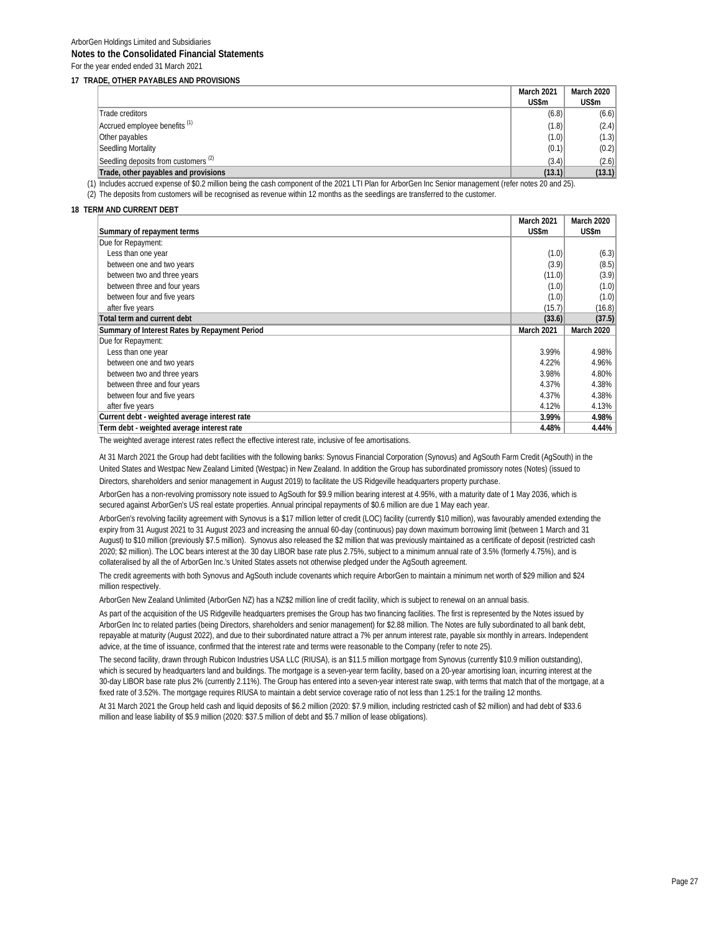#### **17 TRADE, OTHER PAYABLES AND PROVISIONS**

|                                                 | March 2021 | March 2020 |
|-------------------------------------------------|------------|------------|
|                                                 | US\$m      | US\$m      |
| Trade creditors                                 | (6.8)      | (6.6)      |
| Accrued employee benefits <sup>(1)</sup>        | (1.8)      | (2.4)      |
| Other payables                                  | (1.0)      | (1.3)      |
| Seedling Mortality                              | (0.1)      | (0.2)      |
| Seedling deposits from customers <sup>(2)</sup> | (3.4)      | (2.6)      |
| Trade, other payables and provisions            | (13.1)     | (13.1)     |

(1) Includes accrued expense of \$0.2 million being the cash component of the 2021 LTI Plan for ArborGen Inc Senior management (refer notes 20 and 25).

(2) The deposits from customers will be recognised as revenue within 12 months as the seedlings are transferred to the customer.

#### **18 TERM AND CURRENT DEBT**

|                                               | <b>March 2021</b> | <b>March 2020</b>       |
|-----------------------------------------------|-------------------|-------------------------|
| Summary of repayment terms                    | US\$m             | US\$m                   |
| Due for Repayment:                            |                   |                         |
| Less than one year                            | (1.0)             | (6.3)                   |
| between one and two years                     | (3.9)             | (8.5)                   |
| between two and three years                   | (11.0)            | (3.9)                   |
| between three and four years                  | (1.0)             | (1.0)                   |
| between four and five years                   | (1.0)             | (1.0)                   |
| after five years                              | (15.7)            | (16.8)                  |
| Total term and current debt                   | (33.6)            | (37.5)                  |
|                                               |                   |                         |
| Summary of Interest Rates by Repayment Period | <b>March 2021</b> | March 2020              |
| Due for Repayment:                            |                   |                         |
| Less than one year                            | 3.99%             |                         |
| between one and two years                     | 4.22%             |                         |
| between two and three years                   | 3.98%             | 4.98%<br>4.96%<br>4.80% |
| between three and four years                  | 4.37%             | 4.38%                   |
| between four and five years                   | 4.37%             | 4.38%                   |
| after five years                              | 4.12%             | 4.13%                   |
| Current debt - weighted average interest rate | 3.99%             | 4.98%                   |

The weighted average interest rates reflect the effective interest rate, inclusive of fee amortisations.

At 31 March 2021 the Group had debt facilities with the following banks: Synovus Financial Corporation (Synovus) and AgSouth Farm Credit (AgSouth) in the United States and Westpac New Zealand Limited (Westpac) in New Zealand. In addition the Group has subordinated promissory notes (Notes) (issued to Directors, shareholders and senior management in August 2019) to facilitate the US Ridgeville headquarters property purchase.

ArborGen has a non-revolving promissory note issued to AgSouth for \$9.9 million bearing interest at 4.95%, with a maturity date of 1 May 2036, which is secured against ArborGen's US real estate properties. Annual principal repayments of \$0.6 million are due 1 May each year.

ArborGen's revolving facility agreement with Synovus is a \$17 million letter of credit (LOC) facility (currently \$10 million), was favourably amended extending the expiry from 31 August 2021 to 31 August 2023 and increasing the annual 60-day (continuous) pay down maximum borrowing limit (between 1 March and 31 August) to \$10 million (previously \$7.5 million). Synovus also released the \$2 million that was previously maintained as a certificate of deposit (restricted cash 2020; \$2 million). The LOC bears interest at the 30 day LIBOR base rate plus 2.75%, subject to a minimum annual rate of 3.5% (formerly 4.75%), and is collateralised by all the of ArborGen Inc.'s United States assets not otherwise pledged under the AgSouth agreement.

The credit agreements with both Synovus and AgSouth include covenants which require ArborGen to maintain a minimum net worth of \$29 million and \$24 million respectively.

ArborGen New Zealand Unlimited (ArborGen NZ) has a NZ\$2 million line of credit facility, which is subject to renewal on an annual basis.

As part of the acquisition of the US Ridgeville headquarters premises the Group has two financing facilities. The first is represented by the Notes issued by ArborGen Inc to related parties (being Directors, shareholders and senior management) for \$2.88 million. The Notes are fully subordinated to all bank debt, repayable at maturity (August 2022), and due to their subordinated nature attract a 7% per annum interest rate, payable six monthly in arrears. Independent advice, at the time of issuance, confirmed that the interest rate and terms were reasonable to the Company (refer to note 25).

The second facility, drawn through Rubicon Industries USA LLC (RIUSA), is an \$11.5 million mortgage from Synovus (currently \$10.9 million outstanding), which is secured by headquarters land and buildings. The mortgage is a seven-year term facility, based on a 20-year amortising loan, incurring interest at the 30-day LIBOR base rate plus 2% (currently 2.11%). The Group has entered into a seven-year interest rate swap, with terms that match that of the mortgage, at a fixed rate of 3.52%. The mortgage requires RIUSA to maintain a debt service coverage ratio of not less than 1.25:1 for the trailing 12 months.

At 31 March 2021 the Group held cash and liquid deposits of \$6.2 million (2020: \$7.9 million, including restricted cash of \$2 million) and had debt of \$33.6 million and lease liability of \$5.9 million (2020: \$37.5 million of debt and \$5.7 million of lease obligations).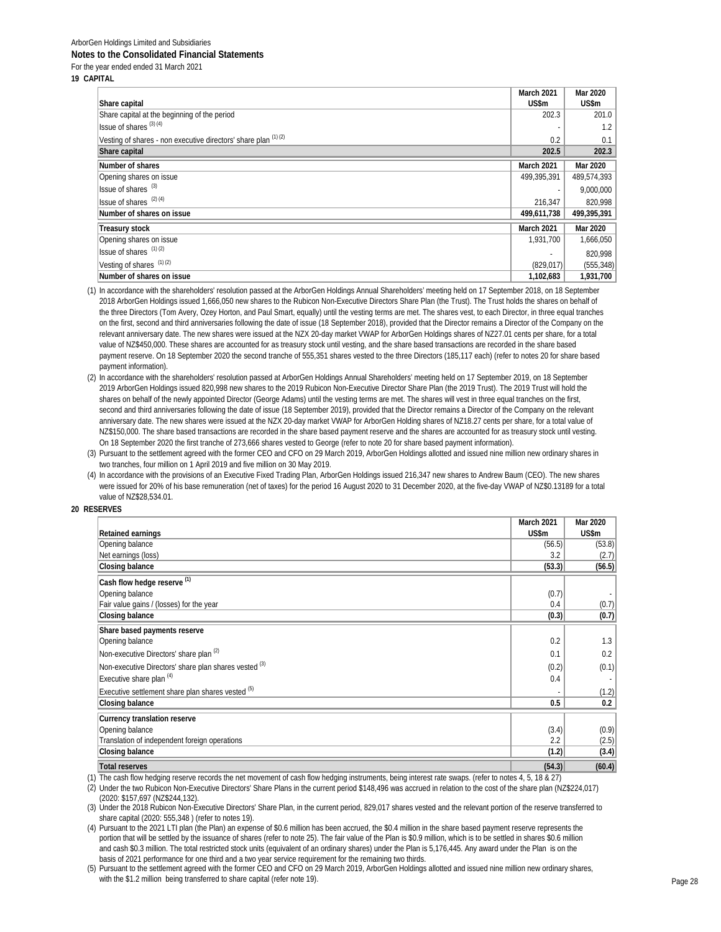| 19 CAPITAL |
|------------|
|            |

|                                                                 | March 2021  | Mar 2020    |
|-----------------------------------------------------------------|-------------|-------------|
| Share capital                                                   | US\$m       | US\$m       |
| Share capital at the beginning of the period                    | 202.3       | 201.0       |
| Issue of shares <sup>(3)(4)</sup>                               |             | 1.2         |
| Vesting of shares - non executive directors' share plan (1) (2) | 0.2         | 0.1         |
| Share capital                                                   | 202.5       | 202.3       |
| Number of shares                                                | March 2021  | Mar 2020    |
| Opening shares on issue                                         | 499,395,391 | 489,574,393 |
| Issue of shares <sup>(3)</sup>                                  | ٠           | 9,000,000   |
| Issue of shares (2) (4)                                         | 216.347     | 820,998     |
| Number of shares on issue                                       | 499,611,738 | 499,395,391 |
| <b>Treasury stock</b>                                           | March 2021  | Mar 2020    |
| Opening shares on issue                                         | 1,931,700   | 1,666,050   |
| Issue of shares $(1)(2)$                                        |             | 820.998     |
| Vesting of shares (1)(2)                                        | (829, 017)  | (555, 348)  |
| Number of shares on issue                                       | 1,102,683   | 1,931,700   |

(1) In accordance with the shareholders' resolution passed at the ArborGen Holdings Annual Shareholders' meeting held on 17 September 2018, on 18 September 2018 ArborGen Holdings issued 1,666,050 new shares to the Rubicon Non-Executive Directors Share Plan (the Trust). The Trust holds the shares on behalf of the three Directors (Tom Avery, Ozey Horton, and Paul Smart, equally) until the vesting terms are met. The shares vest, to each Director, in three equal tranches on the first, second and third anniversaries following the date of issue (18 September 2018), provided that the Director remains a Director of the Company on the relevant anniversary date. The new shares were issued at the NZX 20-day market VWAP for ArborGen Holdings shares of NZ27.01 cents per share, for a total value of NZ\$450,000. These shares are accounted for as treasury stock until vesting, and the share based transactions are recorded in the share based payment reserve. On 18 September 2020 the second tranche of 555,351 shares vested to the three Directors (185,117 each) (refer to notes 20 for share based payment information).

(2) In accordance with the shareholders' resolution passed at ArborGen Holdings Annual Shareholders' meeting held on 17 September 2019, on 18 September 2019 ArborGen Holdings issued 820,998 new shares to the 2019 Rubicon Non-Executive Director Share Plan (the 2019 Trust). The 2019 Trust will hold the shares on behalf of the newly appointed Director (George Adams) until the vesting terms are met. The shares will vest in three equal tranches on the first, second and third anniversaries following the date of issue (18 September 2019), provided that the Director remains a Director of the Company on the relevant anniversary date. The new shares were issued at the NZX 20-day market VWAP for ArborGen Holding shares of NZ18.27 cents per share, for a total value of NZ\$150,000. The share based transactions are recorded in the share based payment reserve and the shares are accounted for as treasury stock until vesting. On 18 September 2020 the first tranche of 273,666 shares vested to George (refer to note 20 for share based payment information).

(3) Pursuant to the settlement agreed with the former CEO and CFO on 29 March 2019, ArborGen Holdings allotted and issued nine million new ordinary shares in two tranches, four million on 1 April 2019 and five million on 30 May 2019.

(4) In accordance with the provisions of an Executive Fixed Trading Plan, ArborGen Holdings issued 216,347 new shares to Andrew Baum (CEO). The new shares were issued for 20% of his base remuneration (net of taxes) for the period 16 August 2020 to 31 December 2020, at the five-day VWAP of NZ\$0.13189 for a total value of NZ\$28,534.01.

### **20 RESERVES**

|                                                                                                                                                         | March 2021 | Mar 2020 |
|---------------------------------------------------------------------------------------------------------------------------------------------------------|------------|----------|
| Retained earnings                                                                                                                                       | US\$m      | US\$m    |
| Opening balance                                                                                                                                         | (56.5)     | (53.8)   |
| Net earnings (loss)                                                                                                                                     | 3.2        | (2.7)    |
| Closing balance                                                                                                                                         | (53.3)     | (56.5)   |
| Cash flow hedge reserve (1)                                                                                                                             |            |          |
| Opening balance                                                                                                                                         | (0.7)      |          |
| Fair value gains / (losses) for the year                                                                                                                | 0.4        | (0.7)    |
| Closing balance                                                                                                                                         | (0.3)      | (0.7)    |
| Share based payments reserve                                                                                                                            |            |          |
| Opening balance                                                                                                                                         | 0.2        | 1.3      |
| Non-executive Directors' share plan (2)                                                                                                                 | 0.1        | 0.2      |
| Non-executive Directors' share plan shares vested (3)                                                                                                   | (0.2)      | (0.1)    |
| Executive share plan <sup>(4)</sup>                                                                                                                     | 0.4        |          |
| Executive settlement share plan shares vested (5)                                                                                                       |            | (1.2)    |
| Closing balance                                                                                                                                         | 0.5        | 0.2      |
| Currency translation reserve                                                                                                                            |            |          |
| Opening balance                                                                                                                                         | (3.4)      | (0.9)    |
| Translation of independent foreign operations                                                                                                           | 2.2        | (2.5)    |
| Closing balance                                                                                                                                         | (1.2)      | (3.4)    |
| <b>Total reserves</b>                                                                                                                                   | (54.3)     | (60.4)   |
| The cash flow bedging reserve records the net movement of cash flow bedging instruments, being interest rate swans, (refer to notes $4, 5, 18, 8, 27$ ) |            |          |

(1) The cash flow hedging reserve records the net movement of cash flow hedging instruments, being interest rate swaps. (refer to note

(2) Under the two Rubicon Non-Executive Directors' Share Plans in the current period \$148,496 was accrued in relation to the cost of the share plan (NZ\$224,017) (2020: \$157,697 (NZ\$244,132).

(3) Under the 2018 Rubicon Non-Executive Directors' Share Plan, in the current period, 829,017 shares vested and the relevant portion of the reserve transferred to share capital (2020: 555,348 ) (refer to notes 19).

(4) Pursuant to the 2021 LTI plan (the Plan) an expense of \$0.6 million has been accrued, the \$0.4 million in the share based payment reserve represents the portion that will be settled by the issuance of shares (refer to note 25). The fair value of the Plan is \$0.9 million, which is to be settled in shares \$0.6 million and cash \$0.3 million. The total restricted stock units (equivalent of an ordinary shares) under the Plan is 5,176,445. Any award under the Plan is on the basis of 2021 performance for one third and a two year service requirement for the remaining two thirds.

(5) Pursuant to the settlement agreed with the former CEO and CFO on 29 March 2019, ArborGen Holdings allotted and issued nine million new ordinary shares, with the \$1.2 million being transferred to share capital (refer note 19). Page 28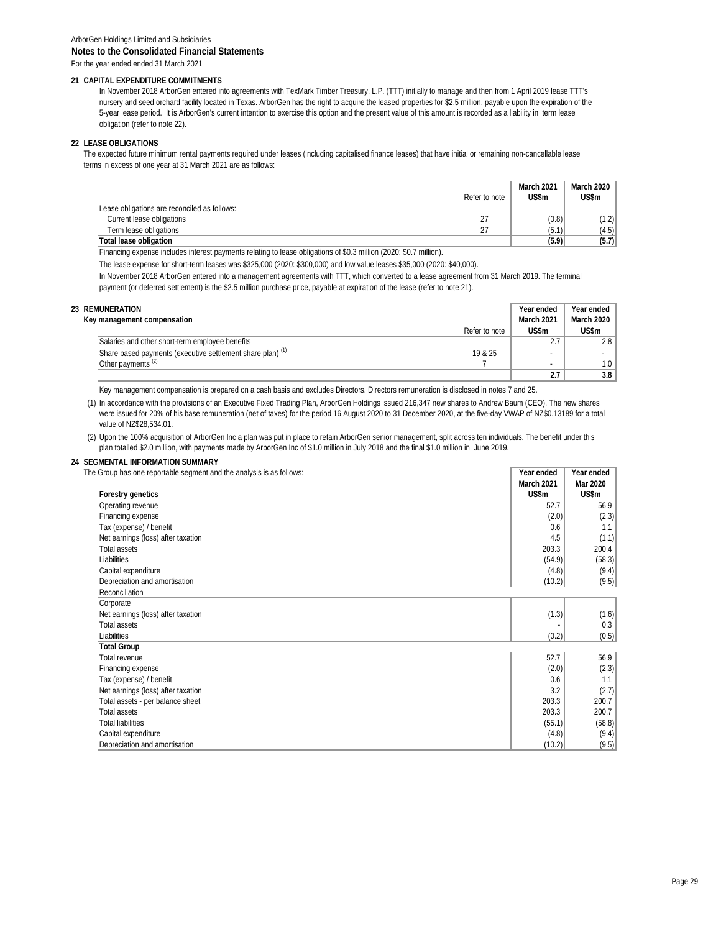#### **21 CAPITAL EXPENDITURE COMMITMENTS**

In November 2018 ArborGen entered into agreements with TexMark Timber Treasury, L.P. (TTT) initially to manage and then from 1 April 2019 lease TTT's nursery and seed orchard facility located in Texas. ArborGen has the right to acquire the leased properties for \$2.5 million, payable upon the expiration of the 5-year lease period. It is ArborGen's current intention to exercise this option and the present value of this amount is recorded as a liability in term lease obligation (refer to note 22).

### **22 LEASE OBLIGATIONS**

The expected future minimum rental payments required under leases (including capitalised finance leases) that have initial or remaining non-cancellable lease terms in excess of one year at 31 March 2021 are as follows:

|                                                                                                                    | Refer to note | <b>March 2021</b><br>US\$m | March 2020<br>US\$m |
|--------------------------------------------------------------------------------------------------------------------|---------------|----------------------------|---------------------|
| Lease obligations are reconciled as follows:                                                                       |               |                            |                     |
| Current lease obligations                                                                                          |               | (0.8)                      | (1.2)               |
| Term lease obligations                                                                                             | 27            | (5.1)                      | (4.5)               |
| Total lease obligation                                                                                             |               | (5.9)                      | (5.7)               |
| Financing expense includes interest payments relating to lease obligations of \$0.3 million (2020: \$0.7 million). |               |                            |                     |

The lease expense for short-term leases was \$325,000 (2020: \$300,000) and low value leases \$35,000 (2020: \$40,000).

In November 2018 ArborGen entered into a management agreements with TTT, which converted to a lease agreement from 31 March 2019. The terminal payment (or deferred settlement) is the \$2.5 million purchase price, payable at expiration of the lease (refer to note 21).

| 23 REMUNERATION                                                       |               | Year ended | Year ended        |
|-----------------------------------------------------------------------|---------------|------------|-------------------|
| Key management compensation                                           |               | March 2021 | <b>March 2020</b> |
|                                                                       | Refer to note | US\$m      | US\$m             |
| Salaries and other short-term employee benefits                       |               |            | 2.8               |
| Share based payments (executive settlement share plan) <sup>(1)</sup> | 19 & 25       |            |                   |
| Other payments <sup>(2)</sup>                                         |               |            | 1.0               |
|                                                                       |               |            | 3.8               |

Key management compensation is prepared on a cash basis and excludes Directors. Directors remuneration is disclosed in notes 7 and 25.

(1) In accordance with the provisions of an Executive Fixed Trading Plan, ArborGen Holdings issued 216,347 new shares to Andrew Baum (CEO). The new shares were issued for 20% of his base remuneration (net of taxes) for the period 16 August 2020 to 31 December 2020, at the five-day VWAP of NZ\$0.13189 for a total value of NZ\$28,534.01.

(2) Upon the 100% acquisition of ArborGen Inc a plan was put in place to retain ArborGen senior management, split across ten individuals. The benefit under this plan totalled \$2.0 million, with payments made by ArborGen Inc of \$1.0 million in July 2018 and the final \$1.0 million in June 2019.

### **24 SEGMENTAL INFORMATION SUMMARY**

| The Group has one reportable segment and the analysis is as follows: | Year ended | Year ended |
|----------------------------------------------------------------------|------------|------------|
|                                                                      |            |            |

|                                    | March 2021 | Mar 2020 |
|------------------------------------|------------|----------|
| Forestry genetics                  | US\$m      | US\$m    |
| Operating revenue                  | 52.7       | 56.9     |
| Financing expense                  | (2.0)      | (2.3)    |
| Tax (expense) / benefit            | 0.6        | 1.1      |
| Net earnings (loss) after taxation | 4.5        | (1.1)    |
| Total assets                       | 203.3      | 200.4    |
| Liabilities                        | (54.9)     | (58.3)   |
| Capital expenditure                | (4.8)      | (9.4)    |
| Depreciation and amortisation      | (10.2)     | (9.5)    |
| Reconciliation                     |            |          |
| Corporate                          |            |          |
| Net earnings (loss) after taxation | (1.3)      | (1.6)    |
| <b>Total assets</b>                |            | 0.3      |
| Liabilities                        | (0.2)      | (0.5)    |
| <b>Total Group</b>                 |            |          |
| Total revenue                      | 52.7       | 56.9     |
| Financing expense                  | (2.0)      | (2.3)    |
| Tax (expense) / benefit            | 0.6        | 1.1      |
| Net earnings (loss) after taxation | 3.2        | (2.7)    |
| Total assets - per balance sheet   | 203.3      | 200.7    |
| <b>Total assets</b>                | 203.3      | 200.7    |
| <b>Total liabilities</b>           | (55.1)     | (58.8)   |
| Capital expenditure                | (4.8)      | (9.4)    |
| Depreciation and amortisation      | (10.2)     | (9.5)    |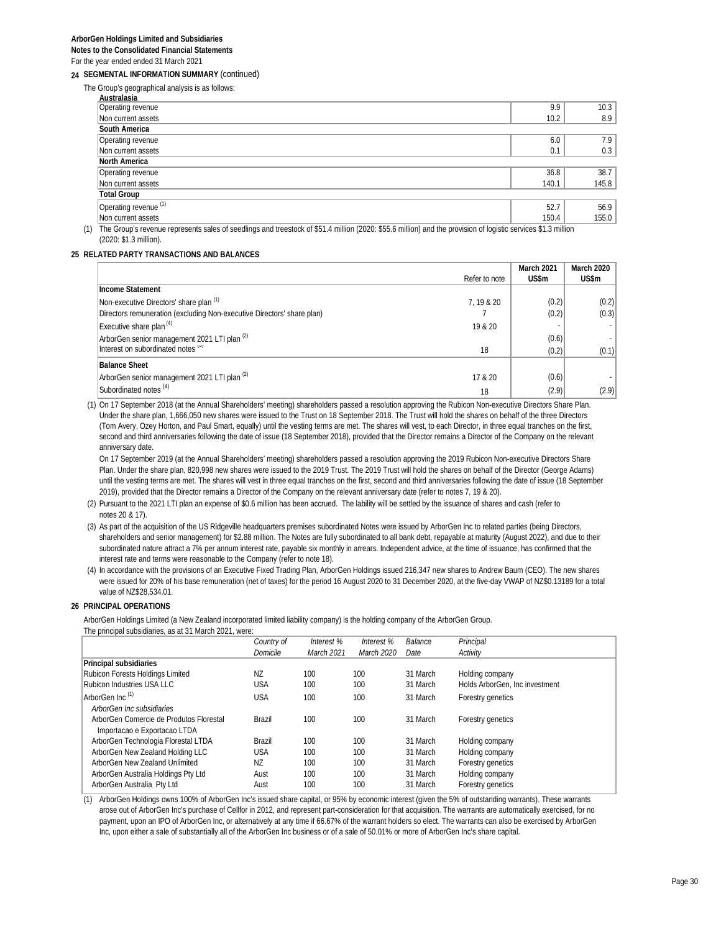**24 SEGMENTAL INFORMATION SUMMARY** (continued)

The Group's geographical analysis is as follows:

| Australasia                                                                                                                                                       |       |       |
|-------------------------------------------------------------------------------------------------------------------------------------------------------------------|-------|-------|
| Operating revenue                                                                                                                                                 | 9.9   | 10.3  |
| Non current assets                                                                                                                                                | 10.2  | 8.9   |
| South America                                                                                                                                                     |       |       |
| Operating revenue                                                                                                                                                 | 6.0   | 7.9   |
| Non current assets                                                                                                                                                | 0.1   | 0.3   |
| North America                                                                                                                                                     |       |       |
| Operating revenue                                                                                                                                                 | 36.8  | 38.7  |
| Non current assets                                                                                                                                                | 140.1 | 145.8 |
| <b>Total Group</b>                                                                                                                                                |       |       |
| Operating revenue (1)                                                                                                                                             | 52.7  | 56.9  |
| Non current assets                                                                                                                                                | 150.4 | 155.0 |
| (1) The Group's revenue represents sales of seedlings and treestock of \$51.4 million (2020: \$55.6 million) and the provision of logistic services \$1.3 million |       |       |

(2020: \$1.3 million).

#### **25 RELATED PARTY TRANSACTIONS AND BALANCES**

|                                                                        |               | March 2021 | March 2020 |
|------------------------------------------------------------------------|---------------|------------|------------|
|                                                                        | Refer to note | US\$m      | US\$m      |
| Income Statement                                                       |               |            |            |
| Non-executive Directors' share plan (1)                                | 7.19 & 20     | (0.2)      | (0.2)      |
| Directors remuneration (excluding Non-executive Directors' share plan) |               | (0.2)      | (0.3)      |
| Executive share plan <sup>(4)</sup>                                    | 19 & 20       |            |            |
| ArborGen senior management 2021 LTI plan (2)                           |               | (0.6)      |            |
| Interest on subordinated notes (3)                                     | 18            | (0.2)      | (0.1)      |
| <b>Balance Sheet</b>                                                   |               |            |            |
| ArborGen senior management 2021 LTI plan <sup>(2)</sup>                | 17 & 20       | (0.6)      |            |
| Subordinated notes <sup>(4)</sup>                                      | 18            | (2.9)      | (2.9)      |

(1) On 17 September 2018 (at the Annual Shareholders' meeting) shareholders passed a resolution approving the Rubicon Non-executive Directors Share Plan. Under the share plan, 1,666,050 new shares were issued to the Trust on 18 September 2018. The Trust will hold the shares on behalf of the three Directors (Tom Avery, Ozey Horton, and Paul Smart, equally) until the vesting terms are met. The shares will vest, to each Director, in three equal tranches on the first, second and third anniversaries following the date of issue (18 September 2018), provided that the Director remains a Director of the Company on the relevant anniversary date.

On 17 September 2019 (at the Annual Shareholders' meeting) shareholders passed a resolution approving the 2019 Rubicon Non-executive Directors Share Plan. Under the share plan, 820,998 new shares were issued to the 2019 Trust. The 2019 Trust will hold the shares on behalf of the Director (George Adams) until the vesting terms are met. The shares will vest in three equal tranches on the first, second and third anniversaries following the date of issue (18 September 2019), provided that the Director remains a Director of the Company on the relevant anniversary date (refer to notes 7, 19 & 20).

#### (2) Pursuant to the 2021 LTI plan an expense of \$0.6 million has been accrued. The lability will be settled by the issuance of shares and cash (refer to notes 20 & 17).

(3) As part of the acquisition of the US Ridgeville headquarters premises subordinated Notes were issued by ArborGen Inc to related parties (being Directors, shareholders and senior management) for \$2.88 million. The Notes are fully subordinated to all bank debt, repayable at maturity (August 2022), and due to their subordinated nature attract a 7% per annum interest rate, payable six monthly in arrears. Independent advice, at the time of issuance, has confirmed that the interest rate and terms were reasonable to the Company (refer to note 18).

(4) In accordance with the provisions of an Executive Fixed Trading Plan, ArborGen Holdings issued 216,347 new shares to Andrew Baum (CEO). The new shares were issued for 20% of his base remuneration (net of taxes) for the period 16 August 2020 to 31 December 2020, at the five-day VWAP of NZ\$0.13189 for a total value of NZ\$28,534.01.

#### **26 PRINCIPAL OPERATIONS**

ArborGen Holdings Limited (a New Zealand incorporated limited liability company) is the holding company of the ArborGen Group. The principal subsidiaries, as at 31 March 2021, were:

|                                         | Country of     | Interest %        | Interest % | Balance  | Principal                      |
|-----------------------------------------|----------------|-------------------|------------|----------|--------------------------------|
|                                         | Domicile       | <b>March 2021</b> | March 2020 | Date     | Activity                       |
| Principal subsidiaries                  |                |                   |            |          |                                |
| Rubicon Forests Holdings Limited        | N <sub>7</sub> | 100               | 100        | 31 March | Holding company                |
| Rubicon Industries USA LLC              | <b>USA</b>     | 100               | 100        | 31 March | Holds ArborGen, Inc investment |
| ArborGen Inc. (1)                       | <b>USA</b>     | 100               | 100        | 31 March | Forestry genetics              |
| ArborGen Inc subsidiaries               |                |                   |            |          |                                |
| ArborGen Comercie de Produtos Florestal | Brazil         | 100               | 100        | 31 March | Forestry genetics              |
| Importacao e Exportacao LTDA            |                |                   |            |          |                                |
| ArborGen Technologia Florestal LTDA     | Brazil         | 100               | 100        | 31 March | Holding company                |
| ArborGen New Zealand Holding LLC        | <b>USA</b>     | 100               | 100        | 31 March | Holding company                |
| ArborGen New Zealand Unlimited          | NZ             | 100               | 100        | 31 March | Forestry genetics              |
| ArborGen Australia Holdings Pty Ltd     | Aust           | 100               | 100        | 31 March | Holding company                |
| ArborGen Australia Pty Ltd              | Aust           | 100               | 100        | 31 March | Forestry genetics              |

(1) ArborGen Holdings owns 100% of ArborGen Inc's issued share capital, or 95% by economic interest (given the 5% of outstanding warrants). These warrants arose out of ArborGen Inc's purchase of Cellfor in 2012, and represent part-consideration for that acquisition. The warrants are automatically exercised, for no payment, upon an IPO of ArborGen Inc, or alternatively at any time if 66.67% of the warrant holders so elect. The warrants can also be exercised by ArborGen Inc, upon either a sale of substantially all of the ArborGen Inc business or of a sale of 50.01% or more of ArborGen Inc's share capital.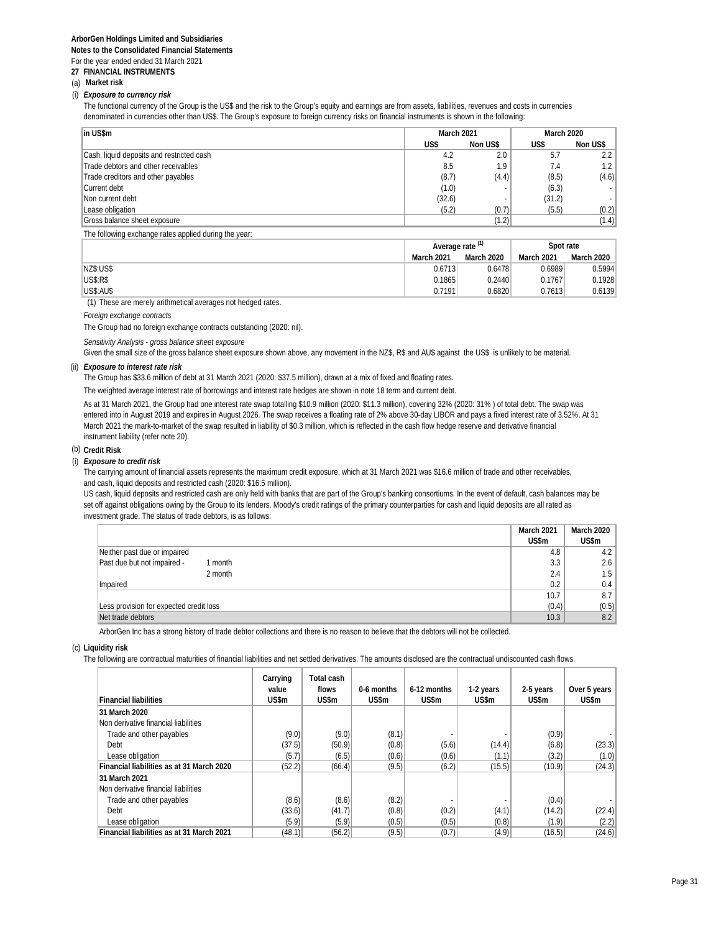#### **27 FINANCIAL INSTRUMENTS**

#### (a) **Market risk**

#### (i) *Exposure to currency risk*

The functional currency of the Group is the US\$ and the risk to the Group's equity and earnings are from assets, liabilities, revenues and costs in currencies denominated in currencies other than US\$. The Group's exposure to foreign currency risks on financial instruments is shown in the following:

| in US\$m                                              | <b>March 2021</b> |          | March 2020 |          |
|-------------------------------------------------------|-------------------|----------|------------|----------|
|                                                       | US\$              | Non US\$ | US\$       | Non US\$ |
| Cash, liquid deposits and restricted cash             | 4.2               | 2.0      | 5.7        | 2.2      |
| Trade debtors and other receivables                   | 8.5               | 1.9      | 7.4        | 1.2      |
| Trade creditors and other payables                    | (8.7)             | (4.4)    | (8.5)      | (4.6)    |
| Current debt                                          | (1.0)             |          | (6.3)      |          |
| Non current debt                                      | (32.6)            |          | (31.2)     |          |
| Lease obligation                                      | (5.2)             | (0.7)    | (5.5)      | (0.2)    |
| Gross balance sheet exposure                          |                   | (1.2)    |            | (1.4)    |
| The following exchange rates applied during the year. |                   |          |            |          |

| $\cdot$<br>$\cdot$<br>.<br>. . | Average rate (1) |                   | Spot rate         |            |
|--------------------------------|------------------|-------------------|-------------------|------------|
|                                | March 2021       | <b>March 2020</b> | <b>March 2021</b> | March 2020 |
| NZ\$:US\$                      | 0.6713           | 0.6478            | 0.6989            | 0.5994     |
| <b>US\$:R\$</b>                | 0.1865           | 0.2440            | 0.1767            | 0.1928     |
| <b>US\$:AU\$</b>               | 0.7191           | 0.6820            | 0.7613            | 0.6139     |

(1) These are merely arithmetical averages not hedged rates.

#### *Foreign exchange contracts*

The Group had no foreign exchange contracts outstanding (2020: nil).

*Sensitivity Analysis - gross balance sheet exposure*

Given the small size of the gross balance sheet exposure shown above, any movement in the NZ\$, R\$ and AU\$ against the US\$ is unlikely to be material.

#### (ii) *Exposure to interest rate risk*

The Group has \$33.6 million of debt at 31 March 2021 (2020: \$37.5 million), drawn at a mix of fixed and floating rates.

The weighted average interest rate of borrowings and interest rate hedges are shown in note 18 term and current debt.

As at 31 March 2021, the Group had one interest rate swap totalling \$10.9 million (2020: \$11.3 million), covering 32% (2020: 31% ) of total debt. The swap was entered into in August 2019 and expires in August 2026. The swap receives a floating rate of 2% above 30-day LIBOR and pays a fixed interest rate of 3.52%. At 31 March 2021 the mark-to-market of the swap resulted in liability of \$0.3 million, which is reflected in the cash flow hedge reserve and derivative financial instrument liability (refer note 20).

#### (b) **Credit Risk**

#### (i) *Exposure to credit risk*

The carrying amount of financial assets represents the maximum credit exposure, which at 31 March 2021 was \$16.6 million of trade and other receivables, and cash, liquid deposits and restricted cash (2020: \$16.5 million).

US cash, liquid deposits and restricted cash are only held with banks that are part of the Group's banking consortiums. In the event of default, cash balances may be set off against obligations owing by the Group to its lenders. Moody's credit ratings of the primary counterparties for cash and liquid deposits are all rated as investment grade. The status of trade debtors, is as follows:

|                                         | March 2021 | March 2020 |
|-----------------------------------------|------------|------------|
|                                         | US\$m      | US\$m      |
| Neither past due or impaired            | 4.8        | 4.2        |
| Past due but not impaired -<br>I month  | 3.3        | 2.6        |
| 2 month                                 | 2.4        | 1.5        |
| Impaired                                | 0.2        | 0.4        |
|                                         | 10.7       | 8.7        |
| Less provision for expected credit loss | (0.4)      | (0.5)      |
| Net trade debtors                       | 10.3       | 8.2        |

ArborGen Inc has a strong history of trade debtor collections and there is no reason to believe that the debtors will not be collected.

#### (c) **Liquidity risk**

The following are contractual maturities of financial liabilities and net settled derivatives. The amounts disclosed are the contractual undiscounted cash flows.

| <b>Financial liabilities</b>              | Carrying<br>value<br>US\$m | Total cash<br>flows<br>US\$m | 0-6 months<br>US\$m | 6-12 months<br>US\$m | 1-2 years<br>US\$m | 2-5 years<br>US\$m | Over 5 years<br>US\$m |
|-------------------------------------------|----------------------------|------------------------------|---------------------|----------------------|--------------------|--------------------|-----------------------|
| 31 March 2020                             |                            |                              |                     |                      |                    |                    |                       |
| Non derivative financial liabilities      |                            |                              |                     |                      |                    |                    |                       |
| Trade and other payables                  | (9.0)                      | (9.0)                        | (8.1)               |                      |                    | (0.9)              |                       |
| Debt                                      | (37.5)                     | (50.9)                       | (0.8)               | (5.6)                | (14.4)             | (6.8)              | (23.3)                |
| Lease obligation                          | (5.7)                      | (6.5)                        | (0.6)               | (0.6)                | (1.1)              | (3.2)              | (1.0)                 |
| Financial liabilities as at 31 March 2020 | (52.2)                     | (66.4)                       | (9.5)               | (6.2)                | (15.5)             | (10.9)             | (24.3)                |
| 31 March 2021                             |                            |                              |                     |                      |                    |                    |                       |
| Non derivative financial liabilities      |                            |                              |                     |                      |                    |                    |                       |
| Trade and other payables                  | (8.6)                      | (8.6)                        | (8.2)               |                      |                    | (0.4)              |                       |
| Debt                                      | (33.6)                     | (41.7)                       | (0.8)               | (0.2)                | (4.1)              | (14.2)             | (22.4)                |
| Lease obligation                          | (5.9)                      | (5.9)                        | (0.5)               | (0.5)                | (0.8)              | (1.9)              | (2.2)                 |
| Financial liabilities as at 31 March 2021 | (48.1)                     | (56.2)                       | (9.5)               | (0.7)                | (4.9)              | (16.5)             | (24.6)                |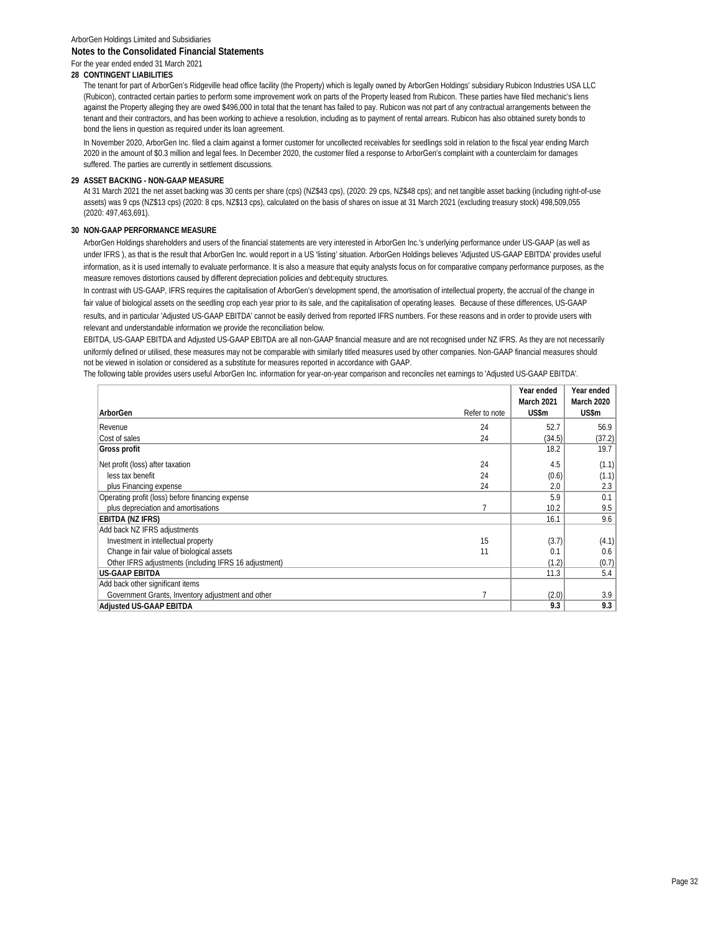## **28 CONTINGENT LIABILITIES**

The tenant for part of ArborGen's Ridgeville head office facility (the Property) which is legally owned by ArborGen Holdings' subsidiary Rubicon Industries USA LLC (Rubicon), contracted certain parties to perform some improvement work on parts of the Property leased from Rubicon. These parties have filed mechanic's liens against the Property alleging they are owed \$496,000 in total that the tenant has failed to pay. Rubicon was not part of any contractual arrangements between the tenant and their contractors, and has been working to achieve a resolution, including as to payment of rental arrears. Rubicon has also obtained surety bonds to bond the liens in question as required under its loan agreement.

In November 2020, ArborGen Inc. filed a claim against a former customer for uncollected receivables for seedlings sold in relation to the fiscal year ending March 2020 in the amount of \$0.3 million and legal fees. In December 2020, the customer filed a response to ArborGen's complaint with a counterclaim for damages suffered. The parties are currently in settlement discussions.

#### **29 ASSET BACKING - NON-GAAP MEASURE**

At 31 March 2021 the net asset backing was 30 cents per share (cps) (NZ\$43 cps), (2020: 29 cps, NZ\$48 cps); and net tangible asset backing (including right-of-use assets) was 9 cps (NZ\$13 cps) (2020: 8 cps, NZ\$13 cps), calculated on the basis of shares on issue at 31 March 2021 (excluding treasury stock) 498,509,055 (2020: 497,463,691).

#### **30 NON-GAAP PERFORMANCE MEASURE**

ArborGen Holdings shareholders and users of the financial statements are very interested in ArborGen Inc.'s underlying performance under US-GAAP (as well as under IFRS ), as that is the result that ArborGen Inc. would report in a US 'listing' situation. ArborGen Holdings believes 'Adjusted US-GAAP EBITDA' provides useful information, as it is used internally to evaluate performance. It is also a measure that equity analysts focus on for comparative company performance purposes, as the measure removes distortions caused by different depreciation policies and debt:equity structures.

In contrast with US-GAAP, IFRS requires the capitalisation of ArborGen's development spend, the amortisation of intellectual property, the accrual of the change in fair value of biological assets on the seedling crop each year prior to its sale, and the capitalisation of operating leases. Because of these differences, US-GAAP results, and in particular 'Adjusted US-GAAP EBITDA' cannot be easily derived from reported IFRS numbers. For these reasons and in order to provide users with relevant and understandable information we provide the reconciliation below.

EBITDA, US-GAAP EBITDA and Adjusted US-GAAP EBITDA are all non-GAAP financial measure and are not recognised under NZ IFRS. As they are not necessarily uniformly defined or utilised, these measures may not be comparable with similarly titled measures used by other companies. Non-GAAP financial measures should not be viewed in isolation or considered as a substitute for measures reported in accordance with GAAP.

The following table provides users useful ArborGen Inc. information for year-on-year comparison and reconciles net earnings to 'Adjusted US-GAAP EBITDA'.

|                                                       |               | Year ended | Year ended |
|-------------------------------------------------------|---------------|------------|------------|
|                                                       |               | March 2021 | March 2020 |
| ArborGen                                              | Refer to note | US\$m      | US\$m      |
| Revenue                                               | 24            | 52.7       | 56.9       |
| Cost of sales                                         | 24            | (34.5)     | (37.2)     |
| Gross profit                                          |               | 18.2       | 19.7       |
| Net profit (loss) after taxation                      | 24            | 4.5        | (1.1)      |
| less tax benefit                                      | 24            | (0.6)      | (1.1)      |
| plus Financing expense                                | 24            | 2.0        | 2.3        |
| Operating profit (loss) before financing expense      |               | 5.9        | 0.1        |
| plus depreciation and amortisations                   |               | 10.2       | 9.5        |
| EBITDA (NZ IFRS)                                      |               | 16.1       | 9.6        |
| Add back NZ IFRS adjustments                          |               |            |            |
| Investment in intellectual property                   | 15            | (3.7)      | (4.1)      |
| Change in fair value of biological assets             | 11            | 0.1        | 0.6        |
| Other IFRS adjustments (including IFRS 16 adjustment) |               | (1.2)      | (0.7)      |
| <b>US-GAAP EBITDA</b>                                 |               | 11.3       | 5.4        |
| Add back other significant items                      |               |            |            |
| Government Grants, Inventory adjustment and other     |               | (2.0)      | 3.9        |
| Adjusted US-GAAP EBITDA                               |               | 9.3        | 9.3        |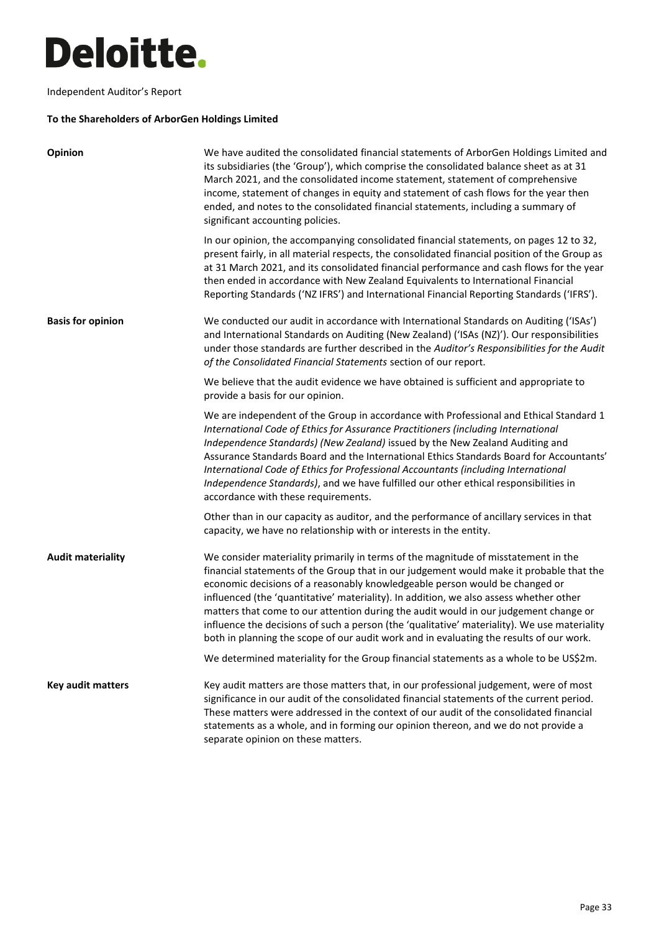## Ī

Independent Auditor's Report

## **To the Shareholders of ArborGen Holdings Limited**

| Opinion                  | We have audited the consolidated financial statements of ArborGen Holdings Limited and<br>its subsidiaries (the 'Group'), which comprise the consolidated balance sheet as at 31<br>March 2021, and the consolidated income statement, statement of comprehensive<br>income, statement of changes in equity and statement of cash flows for the year then<br>ended, and notes to the consolidated financial statements, including a summary of<br>significant accounting policies.                                                                                                                                                        |
|--------------------------|-------------------------------------------------------------------------------------------------------------------------------------------------------------------------------------------------------------------------------------------------------------------------------------------------------------------------------------------------------------------------------------------------------------------------------------------------------------------------------------------------------------------------------------------------------------------------------------------------------------------------------------------|
|                          | In our opinion, the accompanying consolidated financial statements, on pages 12 to 32,<br>present fairly, in all material respects, the consolidated financial position of the Group as<br>at 31 March 2021, and its consolidated financial performance and cash flows for the year<br>then ended in accordance with New Zealand Equivalents to International Financial<br>Reporting Standards ('NZ IFRS') and International Financial Reporting Standards ('IFRS').                                                                                                                                                                      |
| <b>Basis for opinion</b> | We conducted our audit in accordance with International Standards on Auditing ('ISAs')<br>and International Standards on Auditing (New Zealand) ('ISAs (NZ)'). Our responsibilities<br>under those standards are further described in the Auditor's Responsibilities for the Audit<br>of the Consolidated Financial Statements section of our report.                                                                                                                                                                                                                                                                                     |
|                          | We believe that the audit evidence we have obtained is sufficient and appropriate to<br>provide a basis for our opinion.                                                                                                                                                                                                                                                                                                                                                                                                                                                                                                                  |
|                          | We are independent of the Group in accordance with Professional and Ethical Standard 1<br>International Code of Ethics for Assurance Practitioners (including International<br>Independence Standards) (New Zealand) issued by the New Zealand Auditing and<br>Assurance Standards Board and the International Ethics Standards Board for Accountants'<br>International Code of Ethics for Professional Accountants (including International<br>Independence Standards), and we have fulfilled our other ethical responsibilities in<br>accordance with these requirements.                                                               |
|                          | Other than in our capacity as auditor, and the performance of ancillary services in that<br>capacity, we have no relationship with or interests in the entity.                                                                                                                                                                                                                                                                                                                                                                                                                                                                            |
| <b>Audit materiality</b> | We consider materiality primarily in terms of the magnitude of misstatement in the<br>financial statements of the Group that in our judgement would make it probable that the<br>economic decisions of a reasonably knowledgeable person would be changed or<br>influenced (the 'quantitative' materiality). In addition, we also assess whether other<br>matters that come to our attention during the audit would in our judgement change or<br>influence the decisions of such a person (the 'qualitative' materiality). We use materiality<br>both in planning the scope of our audit work and in evaluating the results of our work. |
|                          | We determined materiality for the Group financial statements as a whole to be US\$2m.                                                                                                                                                                                                                                                                                                                                                                                                                                                                                                                                                     |
| Key audit matters        | Key audit matters are those matters that, in our professional judgement, were of most<br>significance in our audit of the consolidated financial statements of the current period.<br>These matters were addressed in the context of our audit of the consolidated financial<br>statements as a whole, and in forming our opinion thereon, and we do not provide a<br>separate opinion on these matters.                                                                                                                                                                                                                                  |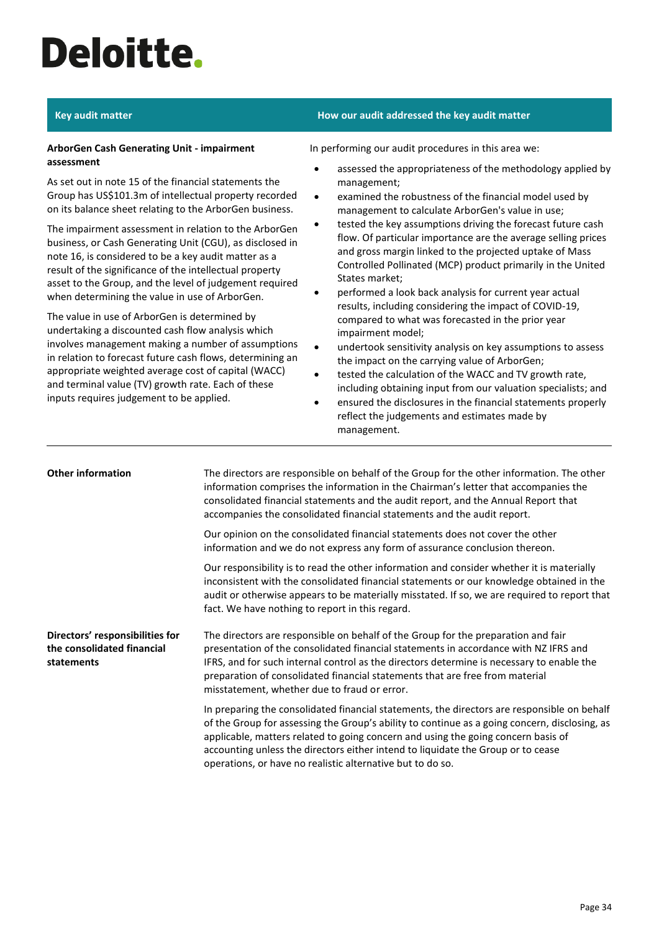# Ī

## **ArborGen Cash Generating Unit - impairment assessment**

As set out in note 15 of the financial statements the Group has US\$101.3m of intellectual property recorded on its balance sheet relating to the ArborGen business.

The impairment assessment in relation to the ArborGen business, or Cash Generating Unit (CGU), as disclosed in note 16, is considered to be a key audit matter as a result of the significance of the intellectual property asset to the Group, and the level of judgement required when determining the value in use of ArborGen.

The value in use of ArborGen is determined by undertaking a discounted cash flow analysis which involves management making a number of assumptions in relation to forecast future cash flows, determining an appropriate weighted average cost of capital (WACC) and terminal value (TV) growth rate. Each of these inputs requires judgement to be applied.

## **Key audit matter How our audit addressed the key audit matter**

In performing our audit procedures in this area we:

- assessed the appropriateness of the methodology applied by management;
- examined the robustness of the financial model used by management to calculate ArborGen's value in use;
- tested the key assumptions driving the forecast future cash flow. Of particular importance are the average selling prices and gross margin linked to the projected uptake of Mass Controlled Pollinated (MCP) product primarily in the United States market;
- performed a look back analysis for current year actual results, including considering the impact of COVID-19, compared to what was forecasted in the prior year impairment model;
- undertook sensitivity analysis on key assumptions to assess the impact on the carrying value of ArborGen;
- tested the calculation of the WACC and TV growth rate, including obtaining input from our valuation specialists; and
- ensured the disclosures in the financial statements properly reflect the judgements and estimates made by management.

| <b>Other information</b>                                                    | The directors are responsible on behalf of the Group for the other information. The other<br>information comprises the information in the Chairman's letter that accompanies the<br>consolidated financial statements and the audit report, and the Annual Report that<br>accompanies the consolidated financial statements and the audit report.                                                                                   |
|-----------------------------------------------------------------------------|-------------------------------------------------------------------------------------------------------------------------------------------------------------------------------------------------------------------------------------------------------------------------------------------------------------------------------------------------------------------------------------------------------------------------------------|
|                                                                             | Our opinion on the consolidated financial statements does not cover the other<br>information and we do not express any form of assurance conclusion thereon.                                                                                                                                                                                                                                                                        |
|                                                                             | Our responsibility is to read the other information and consider whether it is materially<br>inconsistent with the consolidated financial statements or our knowledge obtained in the<br>audit or otherwise appears to be materially misstated. If so, we are required to report that<br>fact. We have nothing to report in this regard.                                                                                            |
| Directors' responsibilities for<br>the consolidated financial<br>statements | The directors are responsible on behalf of the Group for the preparation and fair<br>presentation of the consolidated financial statements in accordance with NZ IFRS and<br>IFRS, and for such internal control as the directors determine is necessary to enable the<br>preparation of consolidated financial statements that are free from material<br>misstatement, whether due to fraud or error.                              |
|                                                                             | In preparing the consolidated financial statements, the directors are responsible on behalf<br>of the Group for assessing the Group's ability to continue as a going concern, disclosing, as<br>applicable, matters related to going concern and using the going concern basis of<br>accounting unless the directors either intend to liquidate the Group or to cease<br>operations, or have no realistic alternative but to do so. |